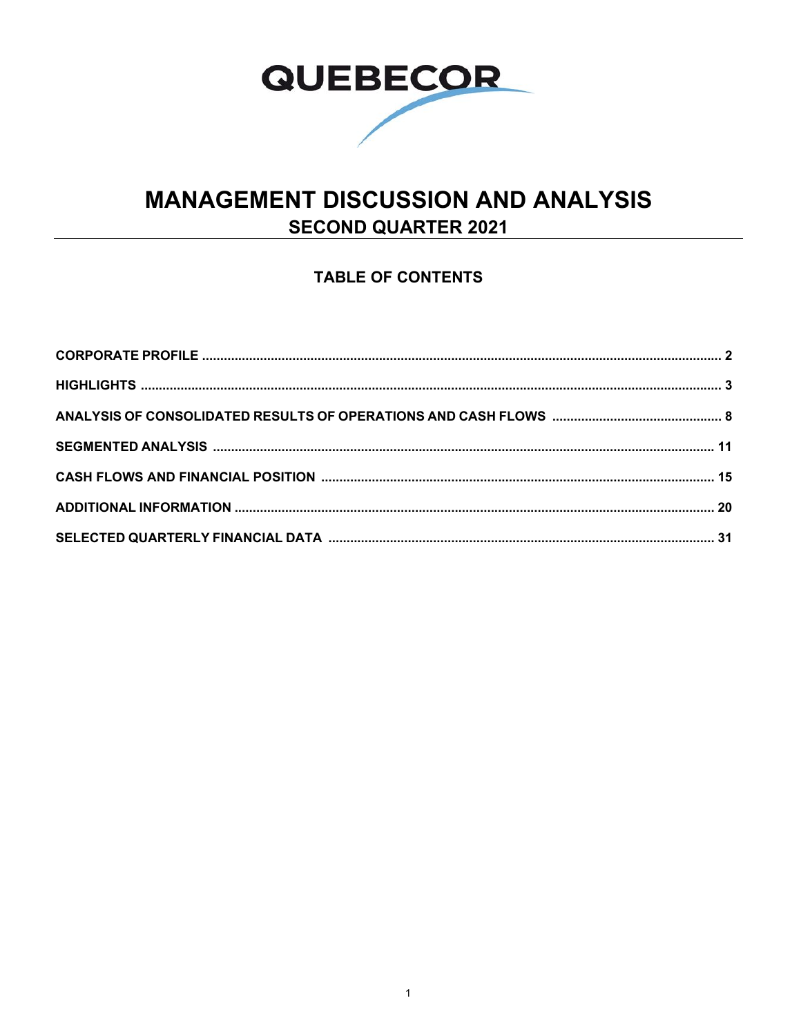

# **MANAGEMENT DISCUSSION AND ANALYSIS SECOND QUARTER 2021**

## **TABLE OF CONTENTS**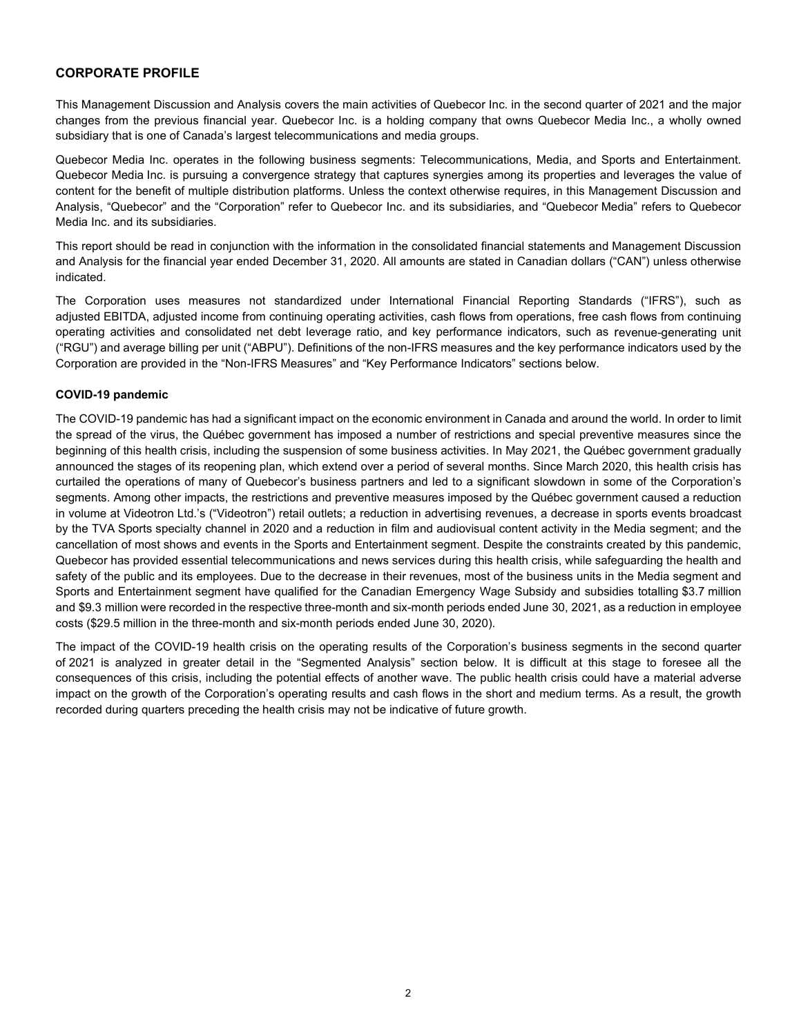### **CORPORATE PROFILE**

This Management Discussion and Analysis covers the main activities of Quebecor Inc. in the second quarter of 2021 and the major changes from the previous financial year. Quebecor Inc. is a holding company that owns Quebecor Media Inc., a wholly owned subsidiary that is one of Canada's largest telecommunications and media groups.

Quebecor Media Inc. operates in the following business segments: Telecommunications, Media, and Sports and Entertainment. Quebecor Media Inc. is pursuing a convergence strategy that captures synergies among its properties and leverages the value of content for the benefit of multiple distribution platforms. Unless the context otherwise requires, in this Management Discussion and Analysis, "Quebecor" and the "Corporation" refer to Quebecor Inc. and its subsidiaries, and "Quebecor Media" refers to Quebecor Media Inc. and its subsidiaries.

This report should be read in conjunction with the information in the consolidated financial statements and Management Discussion and Analysis for the financial year ended December 31, 2020. All amounts are stated in Canadian dollars ("CAN") unless otherwise indicated.

The Corporation uses measures not standardized under International Financial Reporting Standards ("IFRS"), such as adjusted EBITDA, adjusted income from continuing operating activities, cash flows from operations, free cash flows from continuing operating activities and consolidated net debt leverage ratio, and key performance indicators, such as revenue-generating unit ("RGU") and average billing per unit ("ABPU"). Definitions of the non-IFRS measures and the key performance indicators used by the Corporation are provided in the "Non-IFRS Measures" and "Key Performance Indicators" sections below.

#### **COVID-19 pandemic**

The COVID-19 pandemic has had a significant impact on the economic environment in Canada and around the world. In order to limit the spread of the virus, the Québec government has imposed a number of restrictions and special preventive measures since the beginning of this health crisis, including the suspension of some business activities. In May 2021, the Québec government gradually announced the stages of its reopening plan, which extend over a period of several months. Since March 2020, this health crisis has curtailed the operations of many of Quebecor's business partners and led to a significant slowdown in some of the Corporation's segments. Among other impacts, the restrictions and preventive measures imposed by the Québec government caused a reduction in volume at Videotron Ltd.'s ("Videotron") retail outlets; a reduction in advertising revenues, a decrease in sports events broadcast by the TVA Sports specialty channel in 2020 and a reduction in film and audiovisual content activity in the Media segment; and the cancellation of most shows and events in the Sports and Entertainment segment. Despite the constraints created by this pandemic, Quebecor has provided essential telecommunications and news services during this health crisis, while safeguarding the health and safety of the public and its employees. Due to the decrease in their revenues, most of the business units in the Media segment and Sports and Entertainment segment have qualified for the Canadian Emergency Wage Subsidy and subsidies totalling \$3.7 million and \$9.3 million were recorded in the respective three-month and six-month periods ended June 30, 2021, as a reduction in employee costs (\$29.5 million in the three-month and six-month periods ended June 30, 2020).

The impact of the COVID-19 health crisis on the operating results of the Corporation's business segments in the second quarter of 2021 is analyzed in greater detail in the "Segmented Analysis" section below. It is difficult at this stage to foresee all the consequences of this crisis, including the potential effects of another wave. The public health crisis could have a material adverse impact on the growth of the Corporation's operating results and cash flows in the short and medium terms. As a result, the growth recorded during quarters preceding the health crisis may not be indicative of future growth.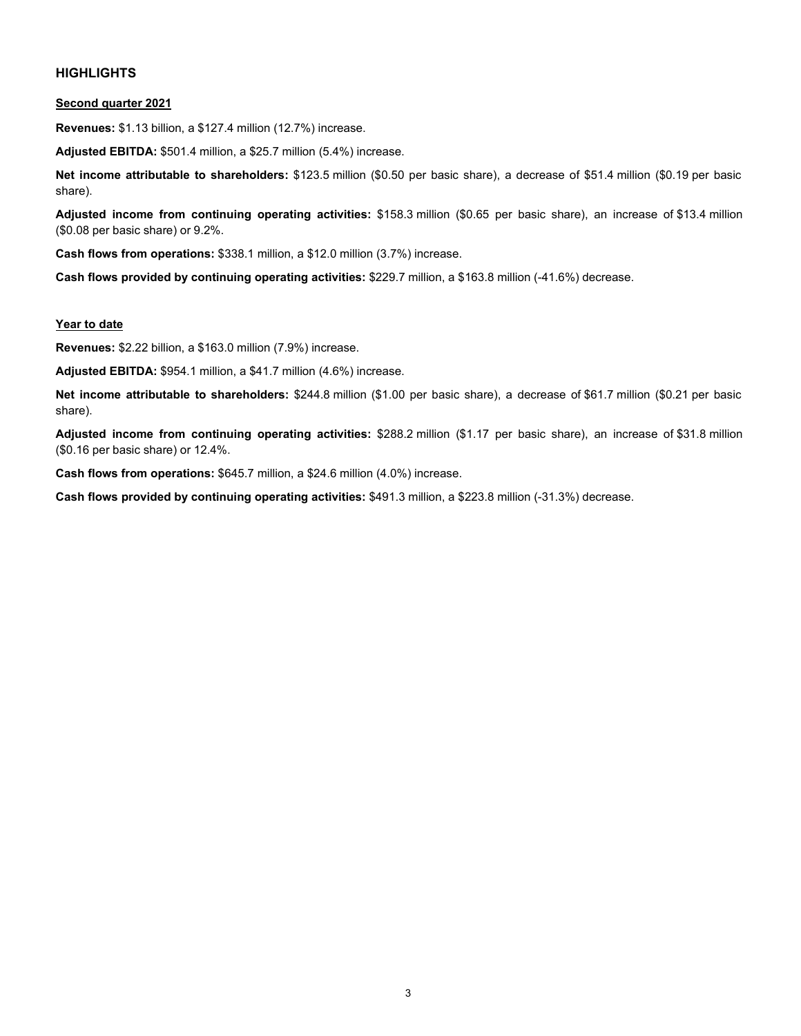#### **HIGHLIGHTS**

#### **Second quarter 2021**

**Revenues:** \$1.13 billion, a \$127.4 million (12.7%) increase.

**Adjusted EBITDA:** \$501.4 million, a \$25.7 million (5.4%) increase.

**Net income attributable to shareholders:** \$123.5 million (\$0.50 per basic share), a decrease of \$51.4 million (\$0.19 per basic share).

**Adjusted income from continuing operating activities:** \$158.3 million (\$0.65 per basic share), an increase of \$13.4 million (\$0.08 per basic share) or 9.2%.

**Cash flows from operations:** \$338.1 million, a \$12.0 million (3.7%) increase.

**Cash flows provided by continuing operating activities:** \$229.7 million, a \$163.8 million (-41.6%) decrease.

#### **Year to date**

**Revenues:** \$2.22 billion, a \$163.0 million (7.9%) increase.

**Adjusted EBITDA:** \$954.1 million, a \$41.7 million (4.6%) increase.

**Net income attributable to shareholders:** \$244.8 million (\$1.00 per basic share), a decrease of \$61.7 million (\$0.21 per basic share).

**Adjusted income from continuing operating activities:** \$288.2 million (\$1.17 per basic share), an increase of \$31.8 million (\$0.16 per basic share) or 12.4%.

**Cash flows from operations:** \$645.7 million, a \$24.6 million (4.0%) increase.

**Cash flows provided by continuing operating activities:** \$491.3 million, a \$223.8 million (-31.3%) decrease.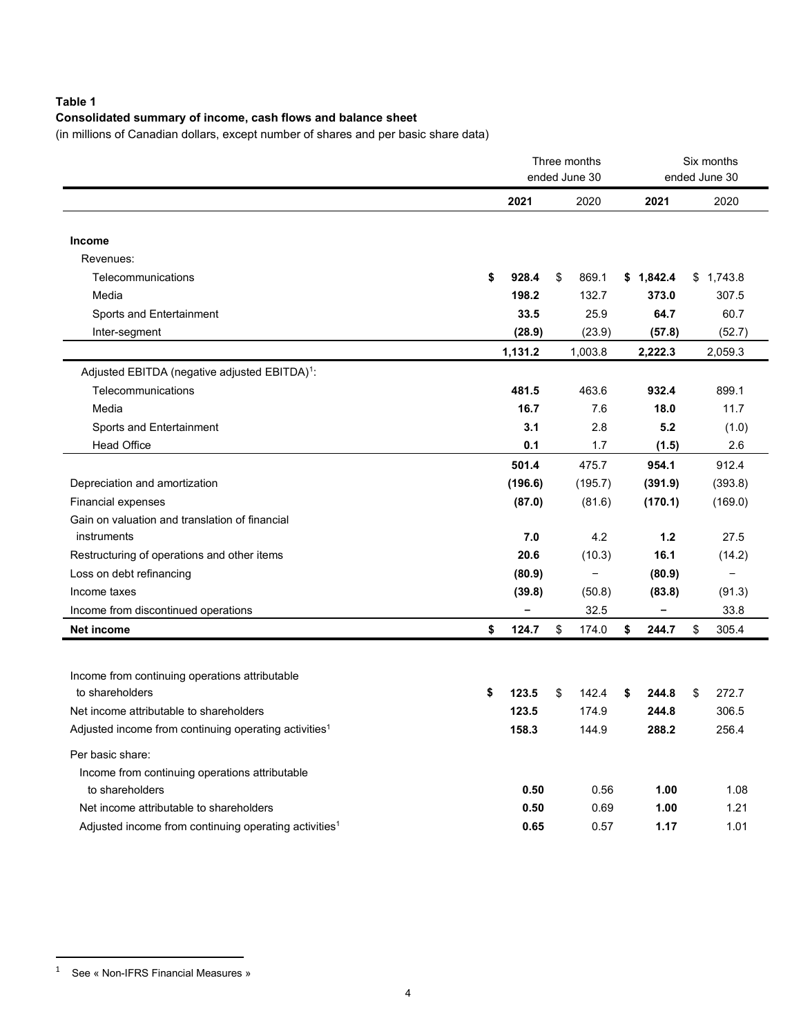## **Table 1**

## **Consolidated summary of income, cash flows and balance sheet**

(in millions of Canadian dollars, except number of shares and per basic share data)

|                                                                   | Three months<br>ended June 30 |         |    |                          |    | Six months<br>ended June 30 |    |           |
|-------------------------------------------------------------------|-------------------------------|---------|----|--------------------------|----|-----------------------------|----|-----------|
|                                                                   |                               | 2021    |    | 2020                     |    | 2021                        |    | 2020      |
|                                                                   |                               |         |    |                          |    |                             |    |           |
| Income                                                            |                               |         |    |                          |    |                             |    |           |
| Revenues:                                                         |                               |         |    |                          |    |                             |    |           |
| Telecommunications                                                | \$                            | 928.4   | \$ | 869.1                    |    | \$1,842.4                   |    | \$1,743.8 |
| Media                                                             |                               | 198.2   |    | 132.7                    |    | 373.0                       |    | 307.5     |
| Sports and Entertainment                                          |                               | 33.5    |    | 25.9                     |    | 64.7                        |    | 60.7      |
| Inter-segment                                                     |                               | (28.9)  |    | (23.9)                   |    | (57.8)                      |    | (52.7)    |
|                                                                   |                               | 1,131.2 |    | 1,003.8                  |    | 2,222.3                     |    | 2,059.3   |
| Adjusted EBITDA (negative adjusted EBITDA) <sup>1</sup> :         |                               |         |    |                          |    |                             |    |           |
| Telecommunications                                                |                               | 481.5   |    | 463.6                    |    | 932.4                       |    | 899.1     |
| Media                                                             |                               | 16.7    |    | 7.6                      |    | 18.0                        |    | 11.7      |
| Sports and Entertainment                                          |                               | 3.1     |    | 2.8                      |    | 5.2                         |    | (1.0)     |
| <b>Head Office</b>                                                |                               | 0.1     |    | 1.7                      |    | (1.5)                       |    | 2.6       |
|                                                                   |                               | 501.4   |    | 475.7                    |    | 954.1                       |    | 912.4     |
| Depreciation and amortization                                     |                               | (196.6) |    | (195.7)                  |    | (391.9)                     |    | (393.8)   |
| <b>Financial expenses</b>                                         |                               | (87.0)  |    | (81.6)                   |    | (170.1)                     |    | (169.0)   |
| Gain on valuation and translation of financial                    |                               |         |    |                          |    |                             |    |           |
| instruments                                                       |                               | 7.0     |    | 4.2                      |    | 1.2                         |    | 27.5      |
| Restructuring of operations and other items                       |                               | 20.6    |    | (10.3)                   |    | 16.1                        |    | (14.2)    |
| Loss on debt refinancing                                          |                               | (80.9)  |    | $\overline{\phantom{0}}$ |    | (80.9)                      |    | $\equiv$  |
| Income taxes                                                      |                               | (39.8)  |    | (50.8)                   |    | (83.8)                      |    | (91.3)    |
| Income from discontinued operations                               |                               | -       |    | 32.5                     |    | -                           |    | 33.8      |
| <b>Net income</b>                                                 | \$                            | 124.7   | \$ | 174.0                    | \$ | 244.7                       | \$ | 305.4     |
|                                                                   |                               |         |    |                          |    |                             |    |           |
| Income from continuing operations attributable                    |                               |         |    |                          |    |                             |    |           |
| to shareholders                                                   | \$                            | 123.5   | \$ | 142.4                    | \$ | 244.8                       | \$ | 272.7     |
| Net income attributable to shareholders                           |                               | 123.5   |    | 174.9                    |    | 244.8                       |    | 306.5     |
| Adjusted income from continuing operating activities <sup>1</sup> |                               | 158.3   |    | 144.9                    |    | 288.2                       |    | 256.4     |
|                                                                   |                               |         |    |                          |    |                             |    |           |
| Per basic share:                                                  |                               |         |    |                          |    |                             |    |           |
| Income from continuing operations attributable                    |                               |         |    |                          |    |                             |    |           |
| to shareholders                                                   |                               | 0.50    |    | 0.56                     |    | 1.00                        |    | 1.08      |
| Net income attributable to shareholders                           |                               | 0.50    |    | 0.69                     |    | 1.00                        |    | 1.21      |
| Adjusted income from continuing operating activities <sup>1</sup> |                               | 0.65    |    | 0.57                     |    | 1.17                        |    | 1.01      |

<span id="page-3-0"></span><sup>1</sup> See « Non-IFRS Financial Measures »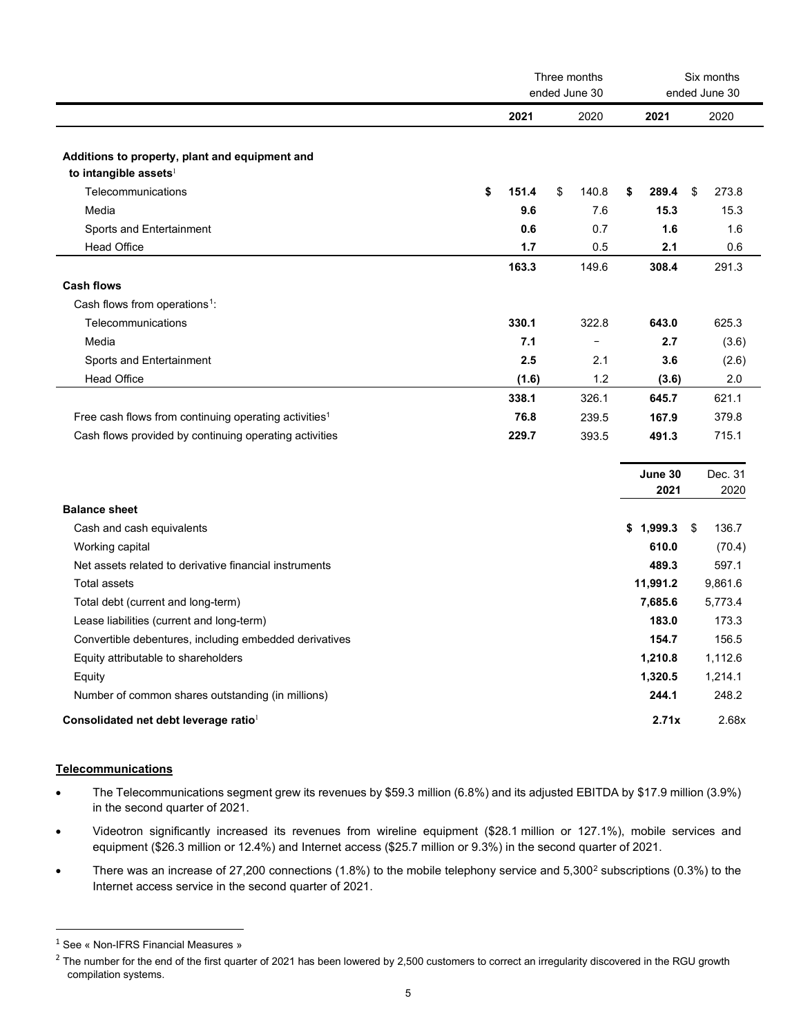|                                                                                     | Three months<br>ended June 30 |       |    |                          |                 | Six months<br>ended June 30 |                 |  |
|-------------------------------------------------------------------------------------|-------------------------------|-------|----|--------------------------|-----------------|-----------------------------|-----------------|--|
|                                                                                     |                               | 2021  |    | 2020                     | 2021            |                             | 2020            |  |
| Additions to property, plant and equipment and<br>to intangible assets <sup>1</sup> |                               |       |    |                          |                 |                             |                 |  |
| Telecommunications                                                                  | \$                            | 151.4 | \$ | 140.8                    | 289.4<br>\$     | \$                          | 273.8           |  |
| Media                                                                               |                               | 9.6   |    | 7.6                      | 15.3            |                             | 15.3            |  |
| Sports and Entertainment                                                            |                               | 0.6   |    | 0.7                      | 1.6             |                             | 1.6             |  |
| <b>Head Office</b>                                                                  |                               | 1.7   |    | 0.5                      | 2.1             |                             | 0.6             |  |
|                                                                                     |                               | 163.3 |    | 149.6                    | 308.4           |                             | 291.3           |  |
| <b>Cash flows</b>                                                                   |                               |       |    |                          |                 |                             |                 |  |
| Cash flows from operations <sup>1</sup> :                                           |                               |       |    |                          |                 |                             |                 |  |
| Telecommunications                                                                  |                               | 330.1 |    | 322.8                    | 643.0           |                             | 625.3           |  |
| Media                                                                               |                               | 7.1   |    | $\overline{\phantom{0}}$ | 2.7             |                             | (3.6)           |  |
| Sports and Entertainment                                                            |                               | 2.5   |    | 2.1                      | 3.6             |                             | (2.6)           |  |
| <b>Head Office</b>                                                                  |                               | (1.6) |    | 1.2                      | (3.6)           |                             | 2.0             |  |
|                                                                                     |                               | 338.1 |    | 326.1                    | 645.7           |                             | 621.1           |  |
| Free cash flows from continuing operating activities <sup>1</sup>                   |                               | 76.8  |    | 239.5                    | 167.9           |                             | 379.8           |  |
| Cash flows provided by continuing operating activities                              |                               | 229.7 |    | 393.5                    | 491.3           |                             | 715.1           |  |
|                                                                                     |                               |       |    |                          |                 |                             |                 |  |
|                                                                                     |                               |       |    |                          | June 30<br>2021 |                             | Dec. 31<br>2020 |  |
| <b>Balance sheet</b>                                                                |                               |       |    |                          |                 |                             |                 |  |
| Cash and cash equivalents                                                           |                               |       |    |                          | \$1,999.3       | \$                          | 136.7           |  |
| Working capital                                                                     |                               |       |    |                          | 610.0           |                             | (70.4)          |  |
| Net assets related to derivative financial instruments                              |                               |       |    |                          | 489.3           |                             | 597.1           |  |
| <b>Total assets</b>                                                                 |                               |       |    |                          | 11,991.2        |                             | 9,861.6         |  |
| Total debt (current and long-term)                                                  |                               |       |    |                          | 7,685.6         |                             | 5,773.4         |  |
| Lease liabilities (current and long-term)                                           |                               |       |    |                          | 183.0           |                             | 173.3           |  |
| Convertible debentures, including embedded derivatives                              |                               |       |    |                          | 154.7           |                             | 156.5           |  |
| Equity attributable to shareholders                                                 |                               |       |    |                          | 1,210.8         |                             | 1,112.6         |  |
| Equity                                                                              |                               |       |    |                          | 1,320.5         |                             | 1,214.1         |  |
| Number of common shares outstanding (in millions)                                   |                               |       |    |                          | 244.1           |                             | 248.2           |  |
| Consolidated net debt leverage ratio                                                |                               |       |    |                          | 2.71x           |                             | 2.68x           |  |

#### **Telecommunications**

- The Telecommunications segment grew its revenues by \$59.3 million (6.8%) and its adjusted EBITDA by \$17.9 million (3.9%) in the second quarter of 2021.
- Videotron significantly increased its revenues from wireline equipment (\$28.1 million or 127.1%), mobile services and equipment (\$26.3 million or 12.4%) and Internet access (\$25.7 million or 9.3%) in the second quarter of 2021.
- There was an increase of [2](#page-4-1)7,200 connections (1.8%) to the mobile telephony service and 5,300<sup>2</sup> subscriptions (0.3%) to the Internet access service in the second quarter of 2021.

<span id="page-4-0"></span><sup>&</sup>lt;sup>1</sup> See « Non-IFRS Financial Measures »

<span id="page-4-1"></span> $2$  The number for the end of the first quarter of 2021 has been lowered by 2,500 customers to correct an irregularity discovered in the RGU growth compilation systems.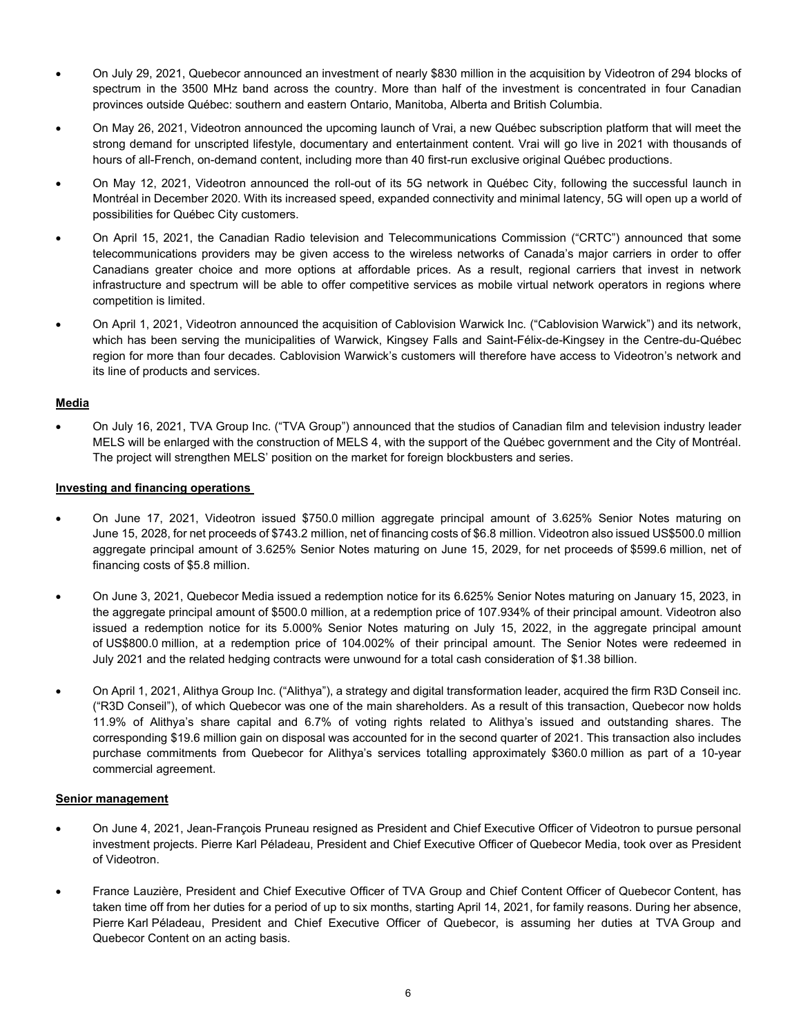- On July 29, 2021, Quebecor announced an investment of nearly \$830 million in the acquisition by Videotron of 294 blocks of spectrum in the 3500 MHz band across the country. More than half of the investment is concentrated in four Canadian provinces outside Québec: southern and eastern Ontario, Manitoba, Alberta and British Columbia.
- On May 26, 2021, Videotron announced the upcoming launch of Vrai, a new Québec subscription platform that will meet the strong demand for unscripted lifestyle, documentary and entertainment content. Vrai will go live in 2021 with thousands of hours of all-French, on-demand content, including more than 40 first-run exclusive original Québec productions.
- On May 12, 2021, Videotron announced the roll-out of its 5G network in Québec City, following the successful launch in Montréal in December 2020. With its increased speed, expanded connectivity and minimal latency, 5G will open up a world of possibilities for Québec City customers.
- On April 15, 2021, the Canadian Radio television and Telecommunications Commission ("CRTC") announced that some telecommunications providers may be given access to the wireless networks of Canada's major carriers in order to offer Canadians greater choice and more options at affordable prices. As a result, regional carriers that invest in network infrastructure and spectrum will be able to offer competitive services as mobile virtual network operators in regions where competition is limited.
- On April 1, 2021, Videotron announced the acquisition of Cablovision Warwick Inc. ("Cablovision Warwick") and its network, which has been serving the municipalities of Warwick, Kingsey Falls and Saint-Félix-de-Kingsey in the Centre-du-Québec region for more than four decades. Cablovision Warwick's customers will therefore have access to Videotron's network and its line of products and services.

#### **Media**

• On July 16, 2021, TVA Group Inc. ("TVA Group") announced that the studios of Canadian film and television industry leader MELS will be enlarged with the construction of MELS 4, with the support of the Québec government and the City of Montréal. The project will strengthen MELS' position on the market for foreign blockbusters and series.

#### **Investing and financing operations**

- On June 17, 2021, Videotron issued \$750.0 million aggregate principal amount of 3.625% Senior Notes maturing on June 15, 2028, for net proceeds of \$743.2 million, net of financing costs of \$6.8 million. Videotron also issued US\$500.0 million aggregate principal amount of 3.625% Senior Notes maturing on June 15, 2029, for net proceeds of \$599.6 million, net of financing costs of \$5.8 million.
- On June 3, 2021, Quebecor Media issued a redemption notice for its 6.625% Senior Notes maturing on January 15, 2023, in the aggregate principal amount of \$500.0 million, at a redemption price of 107.934% of their principal amount. Videotron also issued a redemption notice for its 5.000% Senior Notes maturing on July 15, 2022, in the aggregate principal amount of US\$800.0 million, at a redemption price of 104.002% of their principal amount. The Senior Notes were redeemed in July 2021 and the related hedging contracts were unwound for a total cash consideration of \$1.38 billion.
- On April 1, 2021, Alithya Group Inc. ("Alithya"), a strategy and digital transformation leader, acquired the firm R3D Conseil inc. ("R3D Conseil"), of which Quebecor was one of the main shareholders. As a result of this transaction, Quebecor now holds 11.9% of Alithya's share capital and 6.7% of voting rights related to Alithya's issued and outstanding shares. The corresponding \$19.6 million gain on disposal was accounted for in the second quarter of 2021. This transaction also includes purchase commitments from Quebecor for Alithya's services totalling approximately \$360.0 million as part of a 10-year commercial agreement.

#### **Senior management**

- On June 4, 2021, Jean-François Pruneau resigned as President and Chief Executive Officer of Videotron to pursue personal investment projects. Pierre Karl Péladeau, President and Chief Executive Officer of Quebecor Media, took over as President of Videotron.
- France Lauzière, President and Chief Executive Officer of TVA Group and Chief Content Officer of Quebecor Content, has taken time off from her duties for a period of up to six months, starting April 14, 2021, for family reasons. During her absence, Pierre Karl Péladeau, President and Chief Executive Officer of Quebecor, is assuming her duties at TVA Group and Quebecor Content on an acting basis.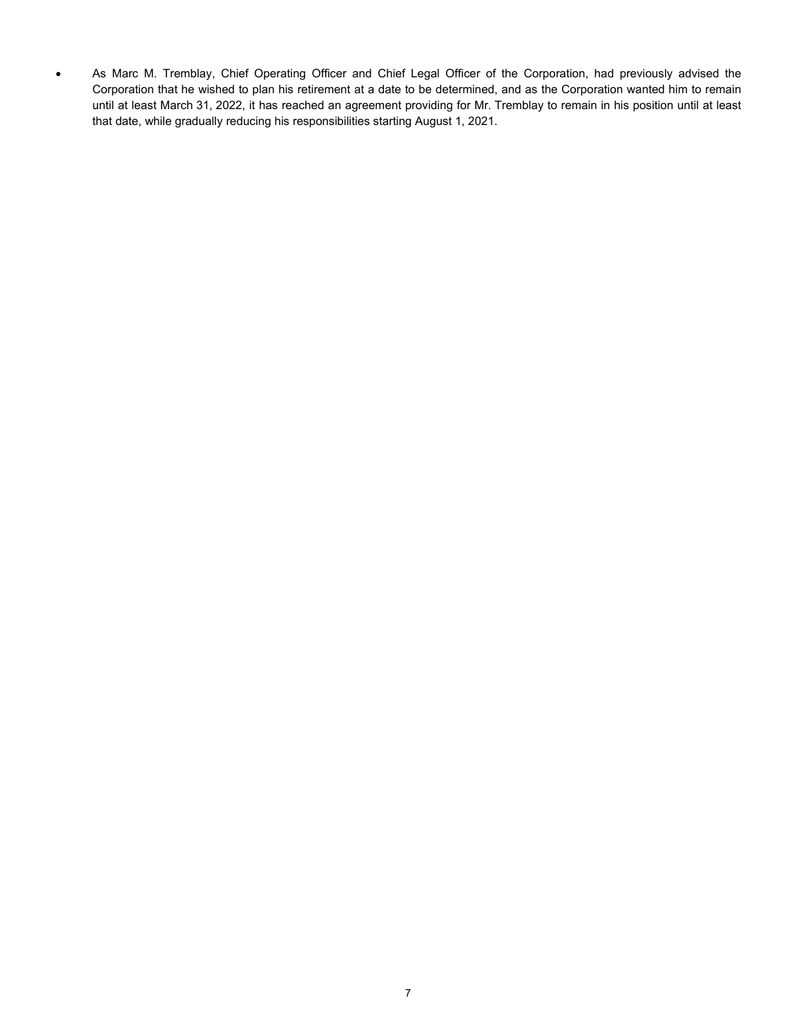• As Marc M. Tremblay, Chief Operating Officer and Chief Legal Officer of the Corporation, had previously advised the Corporation that he wished to plan his retirement at a date to be determined, and as the Corporation wanted him to remain until at least March 31, 2022, it has reached an agreement providing for Mr. Tremblay to remain in his position until at least that date, while gradually reducing his responsibilities starting August 1, 2021.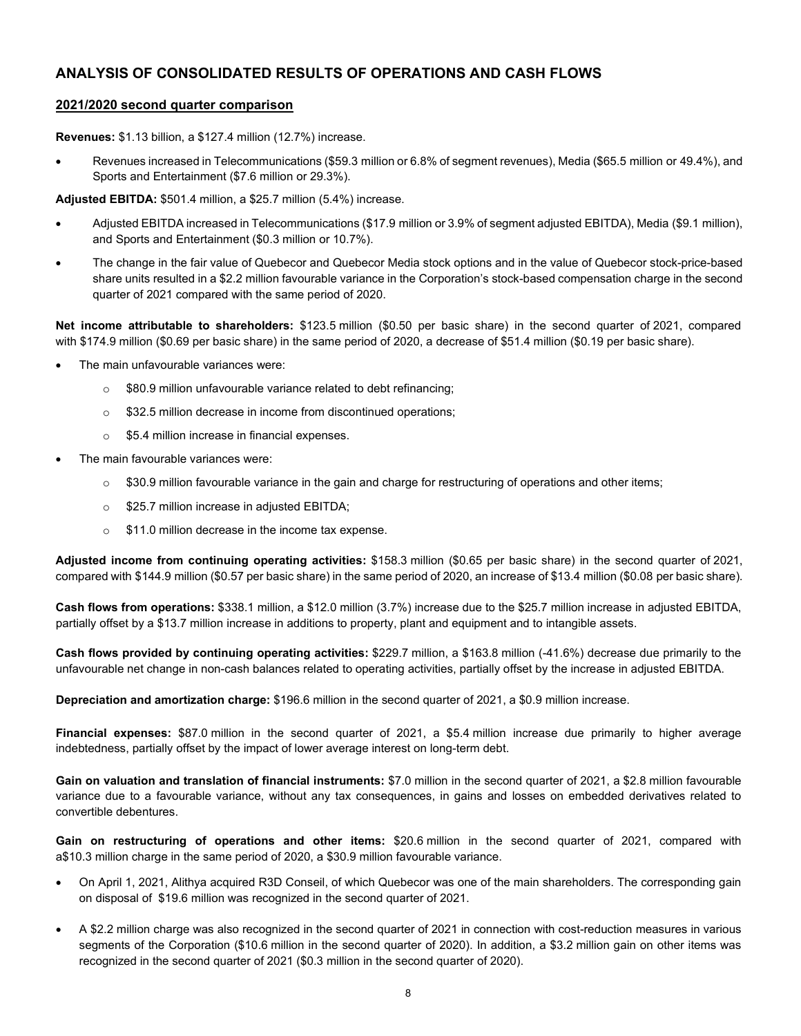## **ANALYSIS OF CONSOLIDATED RESULTS OF OPERATIONS AND CASH FLOWS**

#### **2021/2020 second quarter comparison**

**Revenues:** \$1.13 billion, a \$127.4 million (12.7%) increase.

• Revenues increased in Telecommunications (\$59.3 million or 6.8% of segment revenues), Media (\$65.5 million or 49.4%), and Sports and Entertainment (\$7.6 million or 29.3%).

**Adjusted EBITDA:** \$501.4 million, a \$25.7 million (5.4%) increase.

- Adjusted EBITDA increased in Telecommunications (\$17.9 million or 3.9% of segment adjusted EBITDA), Media (\$9.1 million), and Sports and Entertainment (\$0.3 million or 10.7%).
- The change in the fair value of Quebecor and Quebecor Media stock options and in the value of Quebecor stock-price-based share units resulted in a \$2.2 million favourable variance in the Corporation's stock-based compensation charge in the second quarter of 2021 compared with the same period of 2020.

**Net income attributable to shareholders:** \$123.5 million (\$0.50 per basic share) in the second quarter of 2021, compared with \$174.9 million (\$0.69 per basic share) in the same period of 2020, a decrease of \$51.4 million (\$0.19 per basic share).

- The main unfavourable variances were:
	- o \$80.9 million unfavourable variance related to debt refinancing;
	- o \$32.5 million decrease in income from discontinued operations;
	- o \$5.4 million increase in financial expenses.
- The main favourable variances were:
	- \$30.9 million favourable variance in the gain and charge for restructuring of operations and other items;
	- o \$25.7 million increase in adjusted EBITDA;
	- o \$11.0 million decrease in the income tax expense.

**Adjusted income from continuing operating activities:** \$158.3 million (\$0.65 per basic share) in the second quarter of 2021, compared with \$144.9 million (\$0.57 per basic share) in the same period of 2020, an increase of \$13.4 million (\$0.08 per basic share).

**Cash flows from operations:** \$338.1 million, a \$12.0 million (3.7%) increase due to the \$25.7 million increase in adjusted EBITDA, partially offset by a \$13.7 million increase in additions to property, plant and equipment and to intangible assets.

**Cash flows provided by continuing operating activities:** \$229.7 million, a \$163.8 million (-41.6%) decrease due primarily to the unfavourable net change in non-cash balances related to operating activities, partially offset by the increase in adjusted EBITDA.

**Depreciation and amortization charge:** \$196.6 million in the second quarter of 2021, a \$0.9 million increase.

**Financial expenses:** \$87.0 million in the second quarter of 2021, a \$5.4 million increase due primarily to higher average indebtedness, partially offset by the impact of lower average interest on long-term debt.

**Gain on valuation and translation of financial instruments:** \$7.0 million in the second quarter of 2021, a \$2.8 million favourable variance due to a favourable variance, without any tax consequences, in gains and losses on embedded derivatives related to convertible debentures.

**Gain on restructuring of operations and other items:** \$20.6 million in the second quarter of 2021, compared with a\$10.3 million charge in the same period of 2020, a \$30.9 million favourable variance.

- On April 1, 2021, Alithya acquired R3D Conseil, of which Quebecor was one of the main shareholders. The corresponding gain on disposal of \$19.6 million was recognized in the second quarter of 2021.
- A \$2.2 million charge was also recognized in the second quarter of 2021 in connection with cost-reduction measures in various segments of the Corporation (\$10.6 million in the second quarter of 2020). In addition, a \$3.2 million gain on other items was recognized in the second quarter of 2021 (\$0.3 million in the second quarter of 2020).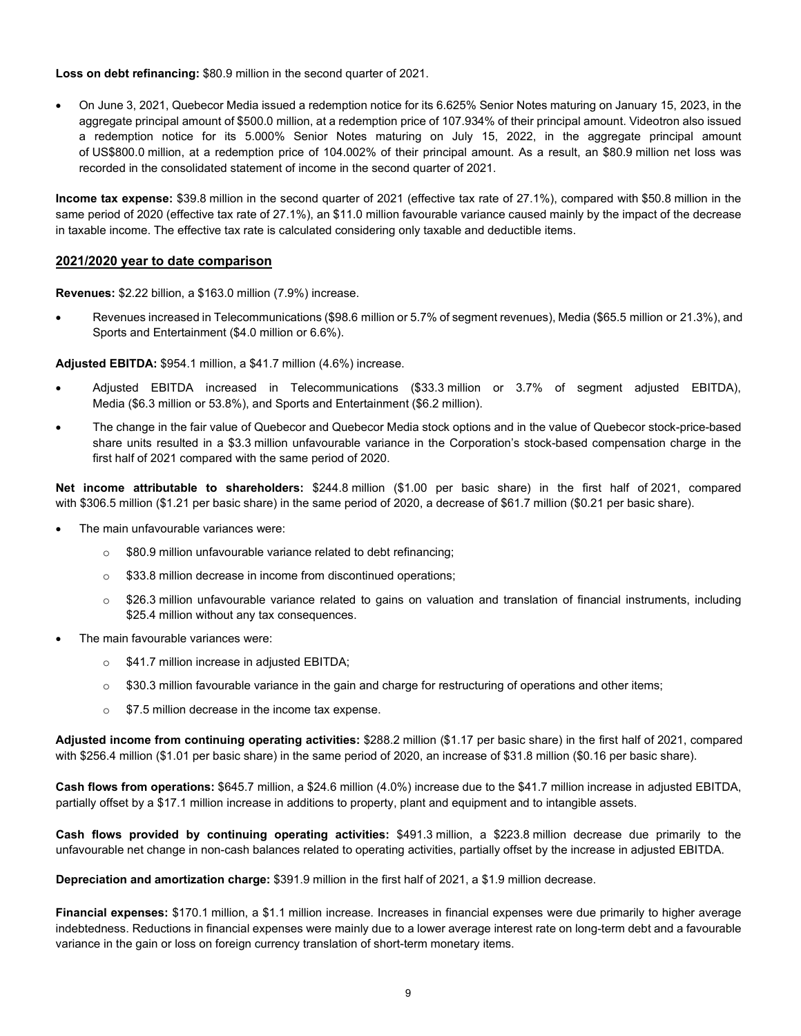**Loss on debt refinancing:** \$80.9 million in the second quarter of 2021.

• On June 3, 2021, Quebecor Media issued a redemption notice for its 6.625% Senior Notes maturing on January 15, 2023, in the aggregate principal amount of \$500.0 million, at a redemption price of 107.934% of their principal amount. Videotron also issued a redemption notice for its 5.000% Senior Notes maturing on July 15, 2022, in the aggregate principal amount of US\$800.0 million, at a redemption price of 104.002% of their principal amount. As a result, an \$80.9 million net loss was recorded in the consolidated statement of income in the second quarter of 2021.

**Income tax expense:** \$39.8 million in the second quarter of 2021 (effective tax rate of 27.1%), compared with \$50.8 million in the same period of 2020 (effective tax rate of 27.1%), an \$11.0 million favourable variance caused mainly by the impact of the decrease in taxable income. The effective tax rate is calculated considering only taxable and deductible items.

#### **2021/2020 year to date comparison**

**Revenues:** \$2.22 billion, a \$163.0 million (7.9%) increase.

• Revenues increased in Telecommunications (\$98.6 million or 5.7% of segment revenues), Media (\$65.5 million or 21.3%), and Sports and Entertainment (\$4.0 million or 6.6%).

#### **Adjusted EBITDA:** \$954.1 million, a \$41.7 million (4.6%) increase.

- Adjusted EBITDA increased in Telecommunications (\$33.3 million or 3.7% of segment adjusted EBITDA), Media (\$6.3 million or 53.8%), and Sports and Entertainment (\$6.2 million).
- The change in the fair value of Quebecor and Quebecor Media stock options and in the value of Quebecor stock-price-based share units resulted in a \$3.3 million unfavourable variance in the Corporation's stock-based compensation charge in the first half of 2021 compared with the same period of 2020.

**Net income attributable to shareholders:** \$244.8 million (\$1.00 per basic share) in the first half of 2021, compared with \$306.5 million (\$1.21 per basic share) in the same period of 2020, a decrease of \$61.7 million (\$0.21 per basic share).

- The main unfavourable variances were:
	- o \$80.9 million unfavourable variance related to debt refinancing;
	- o \$33.8 million decrease in income from discontinued operations;
	- $\circ$  \$26.3 million unfavourable variance related to gains on valuation and translation of financial instruments, including \$25.4 million without any tax consequences.
- The main favourable variances were:
	- o \$41.7 million increase in adjusted EBITDA;
	- $\circ$  \$30.3 million favourable variance in the gain and charge for restructuring of operations and other items;
	- o \$7.5 million decrease in the income tax expense.

**Adjusted income from continuing operating activities:** \$288.2 million (\$1.17 per basic share) in the first half of 2021, compared with \$256.4 million (\$1.01 per basic share) in the same period of 2020, an increase of \$31.8 million (\$0.16 per basic share).

**Cash flows from operations:** \$645.7 million, a \$24.6 million (4.0%) increase due to the \$41.7 million increase in adjusted EBITDA, partially offset by a \$17.1 million increase in additions to property, plant and equipment and to intangible assets.

**Cash flows provided by continuing operating activities:** \$491.3 million, a \$223.8 million decrease due primarily to the unfavourable net change in non-cash balances related to operating activities, partially offset by the increase in adjusted EBITDA.

**Depreciation and amortization charge:** \$391.9 million in the first half of 2021, a \$1.9 million decrease.

**Financial expenses:** \$170.1 million, a \$1.1 million increase. Increases in financial expenses were due primarily to higher average indebtedness. Reductions in financial expenses were mainly due to a lower average interest rate on long-term debt and a favourable variance in the gain or loss on foreign currency translation of short-term monetary items.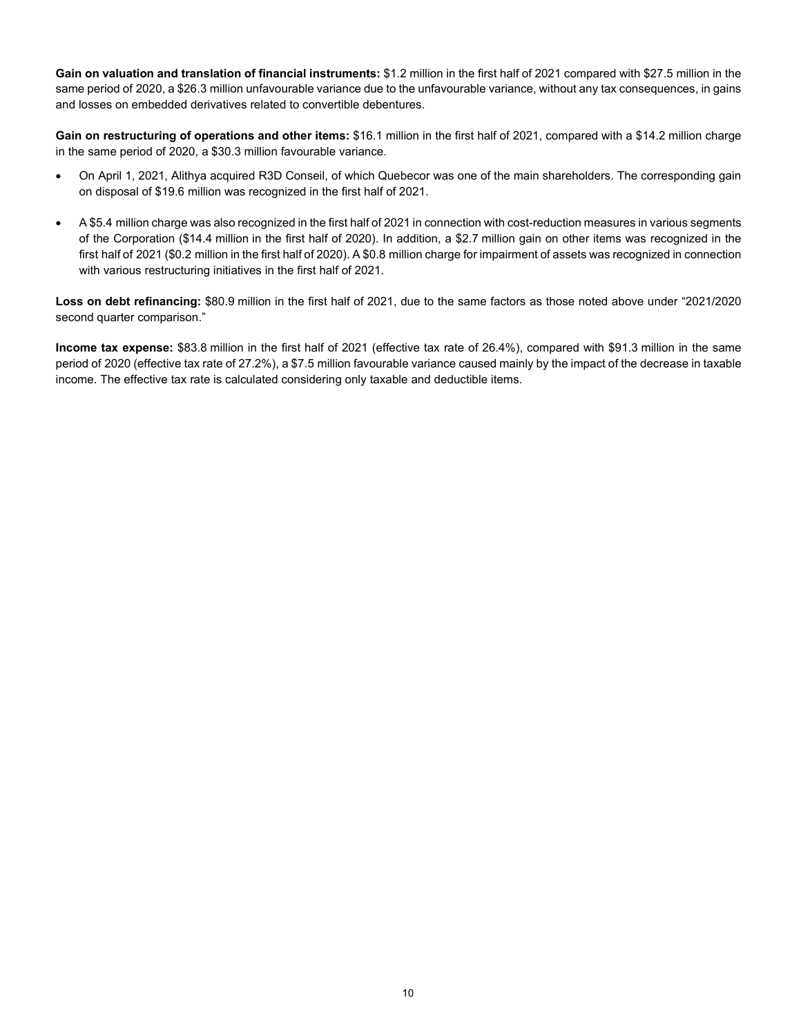**Gain on valuation and translation of financial instruments:** \$1.2 million in the first half of 2021 compared with \$27.5 million in the same period of 2020, a \$26.3 million unfavourable variance due to the unfavourable variance, without any tax consequences, in gains and losses on embedded derivatives related to convertible debentures.

**Gain on restructuring of operations and other items:** \$16.1 million in the first half of 2021, compared with a \$14.2 million charge in the same period of 2020, a \$30.3 million favourable variance.

- On April 1, 2021, Alithya acquired R3D Conseil, of which Quebecor was one of the main shareholders. The corresponding gain on disposal of \$19.6 million was recognized in the first half of 2021.
- A \$5.4 million charge was also recognized in the first half of 2021 in connection with cost-reduction measures in various segments of the Corporation (\$14.4 million in the first half of 2020). In addition, a \$2.7 million gain on other items was recognized in the first half of 2021 (\$0.2 million in the first half of 2020). A \$0.8 million charge for impairment of assets was recognized in connection with various restructuring initiatives in the first half of 2021.

**Loss on debt refinancing:** \$80.9 million in the first half of 2021, due to the same factors as those noted above under "2021/2020 second quarter comparison."

**Income tax expense:** \$83.8 million in the first half of 2021 (effective tax rate of 26.4%), compared with \$91.3 million in the same period of 2020 (effective tax rate of 27.2%), a \$7.5 million favourable variance caused mainly by the impact of the decrease in taxable income. The effective tax rate is calculated considering only taxable and deductible items.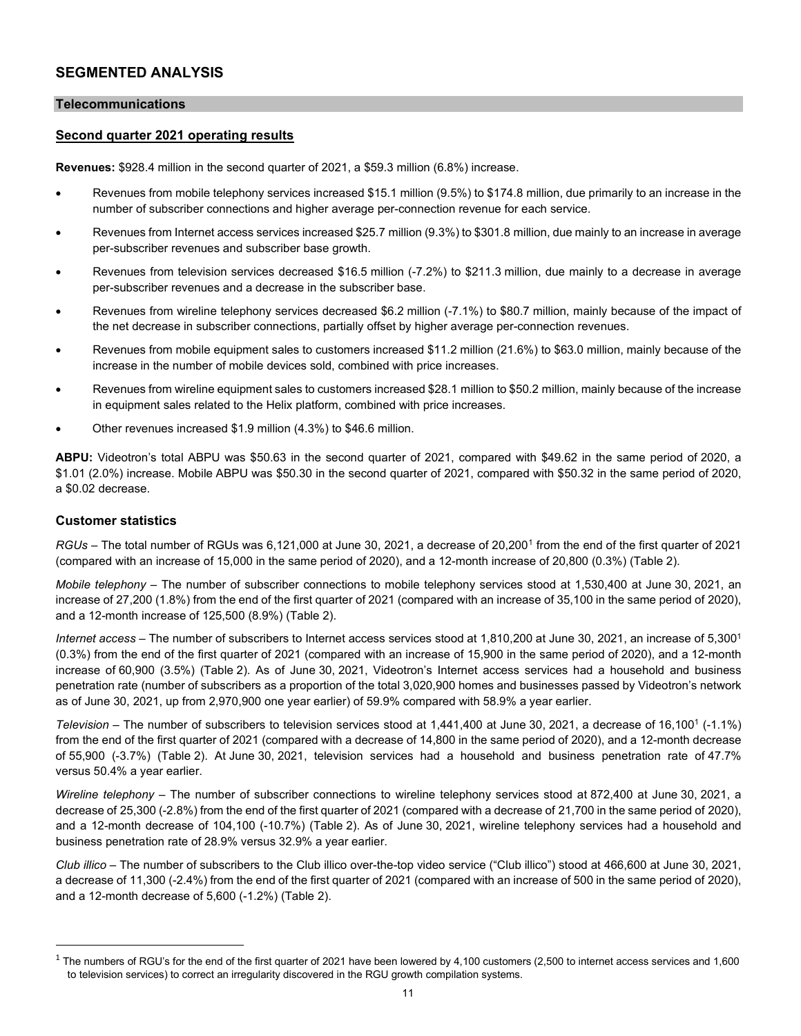## **SEGMENTED ANALYSIS**

#### **Telecommunications**

#### **Second quarter 2021 operating results**

**Revenues:** \$928.4 million in the second quarter of 2021, a \$59.3 million (6.8%) increase.

- Revenues from mobile telephony services increased \$15.1 million (9.5%) to \$174.8 million, due primarily to an increase in the number of subscriber connections and higher average per-connection revenue for each service.
- Revenues from Internet access services increased \$25.7 million (9.3%) to \$301.8 million, due mainly to an increase in average per-subscriber revenues and subscriber base growth.
- Revenues from television services decreased \$16.5 million (-7.2%) to \$211.3 million, due mainly to a decrease in average per-subscriber revenues and a decrease in the subscriber base.
- Revenues from wireline telephony services decreased \$6.2 million (-7.1%) to \$80.7 million, mainly because of the impact of the net decrease in subscriber connections, partially offset by higher average per-connection revenues.
- Revenues from mobile equipment sales to customers increased \$11.2 million (21.6%) to \$63.0 million, mainly because of the increase in the number of mobile devices sold, combined with price increases.
- Revenues from wireline equipment sales to customers increased \$28.1 million to \$50.2 million, mainly because of the increase in equipment sales related to the Helix platform, combined with price increases.
- Other revenues increased \$1.9 million (4.3%) to \$46.6 million.

**ABPU:** Videotron's total ABPU was \$50.63 in the second quarter of 2021, compared with \$49.62 in the same period of 2020, a \$1.01 (2.0%) increase. Mobile ABPU was \$50.30 in the second quarter of 2021, compared with \$50.32 in the same period of 2020, a \$0.02 decrease.

#### **Customer statistics**

*RGUs* – The total number of RGUs was 6,[1](#page-10-0)21,000 at June 30, 2021, a decrease of 20,200<sup>1</sup> from the end of the first quarter of 2021 (compared with an increase of 15,000 in the same period of 2020), and a 12-month increase of 20,800 (0.3%) (Table 2).

*Mobile telephony –* The number of subscriber connections to mobile telephony services stood at 1,530,400 at June 30, 2021, an increase of 27,200 (1.8%) from the end of the first quarter of 2021 (compared with an increase of 35,100 in the same period of 2020), and a 12-month increase of 125,500 (8.9%) (Table 2).

*Internet access –* The number of subscribers to Internet access services stood at 1,810,200 at June 30, 2021, an increase of 5,300<sup>1</sup> (0.3%) from the end of the first quarter of 2021 (compared with an increase of 15,900 in the same period of 2020), and a 12-month increase of 60,900 (3.5%) (Table 2). As of June 30, 2021, Videotron's Internet access services had a household and business penetration rate (number of subscribers as a proportion of the total 3,020,900 homes and businesses passed by Videotron's network as of June 30, 2021, up from 2,970,900 one year earlier) of 59.9% compared with 58.9% a year earlier.

*Television* – The number of subscribers to television services stood at 1,441,400 at June 30, 2021, a decrease of 16,100<sup>1</sup> (-1.1%) from the end of the first quarter of 2021 (compared with a decrease of 14,800 in the same period of 2020), and a 12-month decrease of 55,900 (-3.7%) (Table 2). At June 30, 2021, television services had a household and business penetration rate of 47.7% versus 50.4% a year earlier.

*Wireline telephony –* The number of subscriber connections to wireline telephony services stood at 872,400 at June 30, 2021, a decrease of 25,300 (-2.8%) from the end of the first quarter of 2021 (compared with a decrease of 21,700 in the same period of 2020), and a 12-month decrease of 104,100 (-10.7%) (Table 2). As of June 30, 2021, wireline telephony services had a household and business penetration rate of 28.9% versus 32.9% a year earlier.

*Club illico –* The number of subscribers to the Club illico over-the-top video service ("Club illico") stood at 466,600 at June 30, 2021, a decrease of 11,300 (-2.4%) from the end of the first quarter of 2021 (compared with an increase of 500 in the same period of 2020), and a 12-month decrease of 5,600 (-1.2%) (Table 2).

<span id="page-10-0"></span> $1$  The numbers of RGU's for the end of the first quarter of 2021 have been lowered by 4,100 customers (2,500 to internet access services and 1,600 to television services) to correct an irregularity discovered in the RGU growth compilation systems.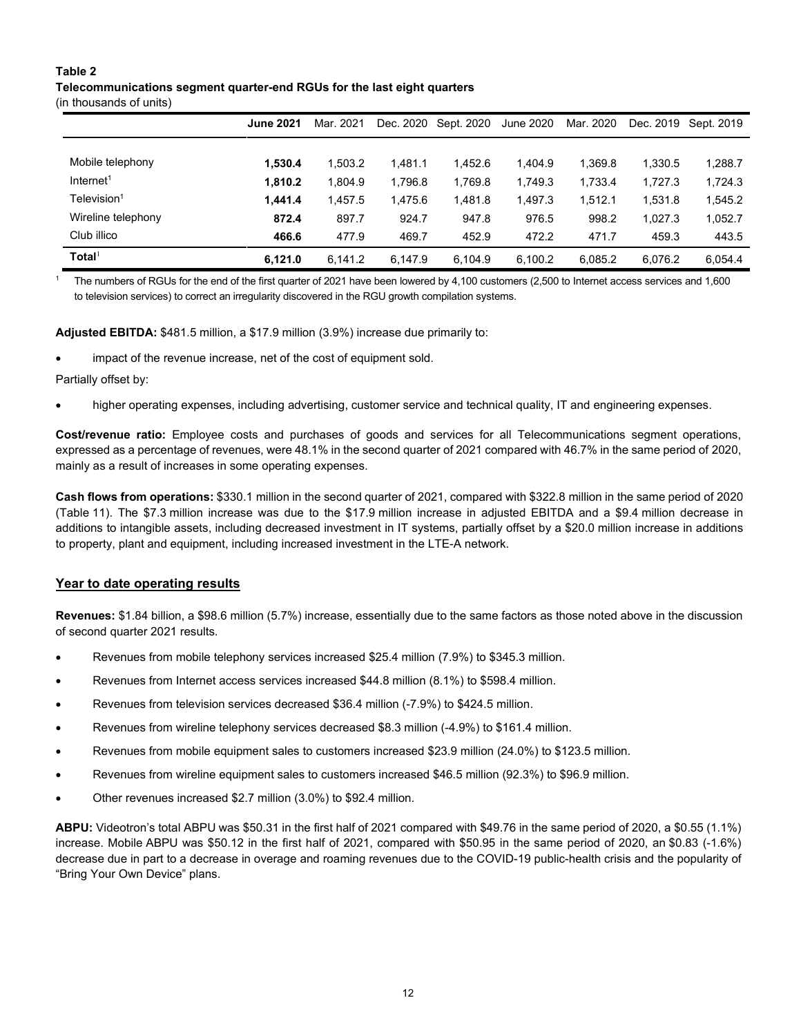#### **Table 2**

#### **Telecommunications segment quarter-end RGUs for the last eight quarters**

(in thousands of units)

|                         | <b>June 2021</b> | Mar. 2021 | Dec. 2020 | Sept. 2020 | June 2020 | Mar. 2020 | Dec. 2019 | Sept. 2019 |
|-------------------------|------------------|-----------|-----------|------------|-----------|-----------|-----------|------------|
|                         |                  |           |           |            |           |           |           |            |
| Mobile telephony        | 1,530.4          | 1,503.2   | 1.481.1   | 1.452.6    | 1.404.9   | 1.369.8   | 1,330.5   | 1,288.7    |
| Internet <sup>1</sup>   | 1.810.2          | 1.804.9   | 1.796.8   | 1.769.8    | 1.749.3   | 1.733.4   | 1.727.3   | 1,724.3    |
| Television <sup>1</sup> | 1.441.4          | 1.457.5   | 1.475.6   | 1,481.8    | 1.497.3   | 1.512.1   | 1.531.8   | 1,545.2    |
| Wireline telephony      | 872.4            | 897.7     | 924.7     | 947.8      | 976.5     | 998.2     | 1.027.3   | 1,052.7    |
| Club illico             | 466.6            | 477.9     | 469.7     | 452.9      | 472.2     | 471.7     | 459.3     | 443.5      |
| Total <sup>1</sup>      | 6.121.0          | 6.141.2   | 6.147.9   | 6.104.9    | 6,100.2   | 6.085.2   | 6.076.2   | 6.054.4    |

<sup>1</sup> The numbers of RGUs for the end of the first quarter of 2021 have been lowered by 4,100 customers (2,500 to Internet access services and 1,600 to television services) to correct an irregularity discovered in the RGU growth compilation systems.

**Adjusted EBITDA:** \$481.5 million, a \$17.9 million (3.9%) increase due primarily to:

impact of the revenue increase, net of the cost of equipment sold.

Partially offset by:

• higher operating expenses, including advertising, customer service and technical quality, IT and engineering expenses.

**Cost/revenue ratio:** Employee costs and purchases of goods and services for all Telecommunications segment operations, expressed as a percentage of revenues, were 48.1% in the second quarter of 2021 compared with 46.7% in the same period of 2020, mainly as a result of increases in some operating expenses.

**Cash flows from operations:** \$330.1 million in the second quarter of 2021, compared with \$322.8 million in the same period of 2020 (Table 11). The \$7.3 million increase was due to the \$17.9 million increase in adjusted EBITDA and a \$9.4 million decrease in additions to intangible assets, including decreased investment in IT systems, partially offset by a \$20.0 million increase in additions to property, plant and equipment, including increased investment in the LTE-A network.

#### **Year to date operating results**

**Revenues:** \$1.84 billion, a \$98.6 million (5.7%) increase, essentially due to the same factors as those noted above in the discussion of second quarter 2021 results.

- Revenues from mobile telephony services increased \$25.4 million (7.9%) to \$345.3 million.
- Revenues from Internet access services increased \$44.8 million (8.1%) to \$598.4 million.
- Revenues from television services decreased \$36.4 million (-7.9%) to \$424.5 million.
- Revenues from wireline telephony services decreased \$8.3 million (-4.9%) to \$161.4 million.
- Revenues from mobile equipment sales to customers increased \$23.9 million (24.0%) to \$123.5 million.
- Revenues from wireline equipment sales to customers increased \$46.5 million (92.3%) to \$96.9 million.
- Other revenues increased \$2.7 million (3.0%) to \$92.4 million.

**ABPU:** Videotron's total ABPU was \$50.31 in the first half of 2021 compared with \$49.76 in the same period of 2020, a \$0.55 (1.1%) increase. Mobile ABPU was \$50.12 in the first half of 2021, compared with \$50.95 in the same period of 2020, an \$0.83 (-1.6%) decrease due in part to a decrease in overage and roaming revenues due to the COVID-19 public-health crisis and the popularity of "Bring Your Own Device" plans.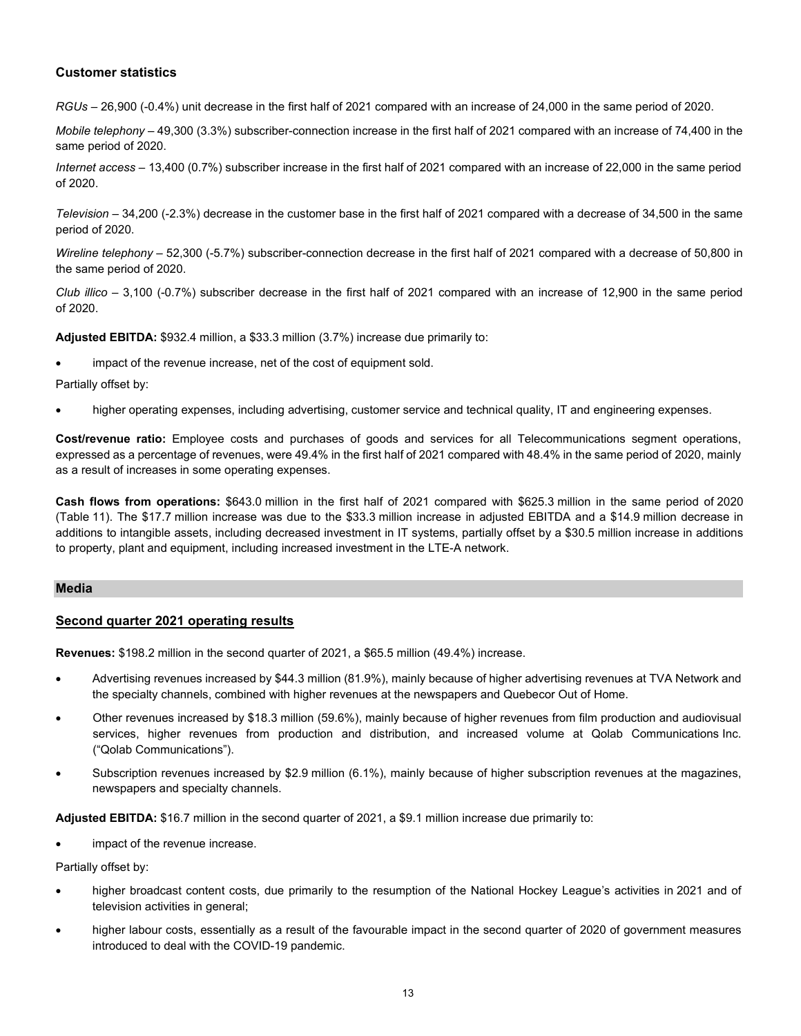#### **Customer statistics**

*RGUs –* 26,900 (-0.4%) unit decrease in the first half of 2021 compared with an increase of 24,000 in the same period of 2020.

*Mobile telephony –* 49,300 (3.3%) subscriber-connection increase in the first half of 2021 compared with an increase of 74,400 in the same period of 2020.

*Internet access –* 13,400 (0.7%) subscriber increase in the first half of 2021 compared with an increase of 22,000 in the same period of 2020.

*Television –* 34,200 (-2.3%) decrease in the customer base in the first half of 2021 compared with a decrease of 34,500 in the same period of 2020.

*Wireline telephony –* 52,300 (-5.7%) subscriber-connection decrease in the first half of 2021 compared with a decrease of 50,800 in the same period of 2020.

*Club illico –* 3,100 (-0.7%) subscriber decrease in the first half of 2021 compared with an increase of 12,900 in the same period of 2020.

**Adjusted EBITDA:** \$932.4 million, a \$33.3 million (3.7%) increase due primarily to:

impact of the revenue increase, net of the cost of equipment sold.

Partially offset by:

• higher operating expenses, including advertising, customer service and technical quality, IT and engineering expenses.

**Cost/revenue ratio:** Employee costs and purchases of goods and services for all Telecommunications segment operations, expressed as a percentage of revenues, were 49.4% in the first half of 2021 compared with 48.4% in the same period of 2020, mainly as a result of increases in some operating expenses.

**Cash flows from operations:** \$643.0 million in the first half of 2021 compared with \$625.3 million in the same period of 2020 (Table 11). The \$17.7 million increase was due to the \$33.3 million increase in adjusted EBITDA and a \$14.9 million decrease in additions to intangible assets, including decreased investment in IT systems, partially offset by a \$30.5 million increase in additions to property, plant and equipment, including increased investment in the LTE-A network.

#### **Media**

#### **Second quarter 2021 operating results**

**Revenues:** \$198.2 million in the second quarter of 2021, a \$65.5 million (49.4%) increase.

- Advertising revenues increased by \$44.3 million (81.9%), mainly because of higher advertising revenues at TVA Network and the specialty channels, combined with higher revenues at the newspapers and Quebecor Out of Home.
- Other revenues increased by \$18.3 million (59.6%), mainly because of higher revenues from film production and audiovisual services, higher revenues from production and distribution, and increased volume at Qolab Communications Inc. ("Qolab Communications").
- Subscription revenues increased by \$2.9 million (6.1%), mainly because of higher subscription revenues at the magazines, newspapers and specialty channels.

**Adjusted EBITDA:** \$16.7 million in the second quarter of 2021, a \$9.1 million increase due primarily to:

impact of the revenue increase.

Partially offset by:

- higher broadcast content costs, due primarily to the resumption of the National Hockey League's activities in 2021 and of television activities in general;
- higher labour costs, essentially as a result of the favourable impact in the second quarter of 2020 of government measures introduced to deal with the COVID-19 pandemic.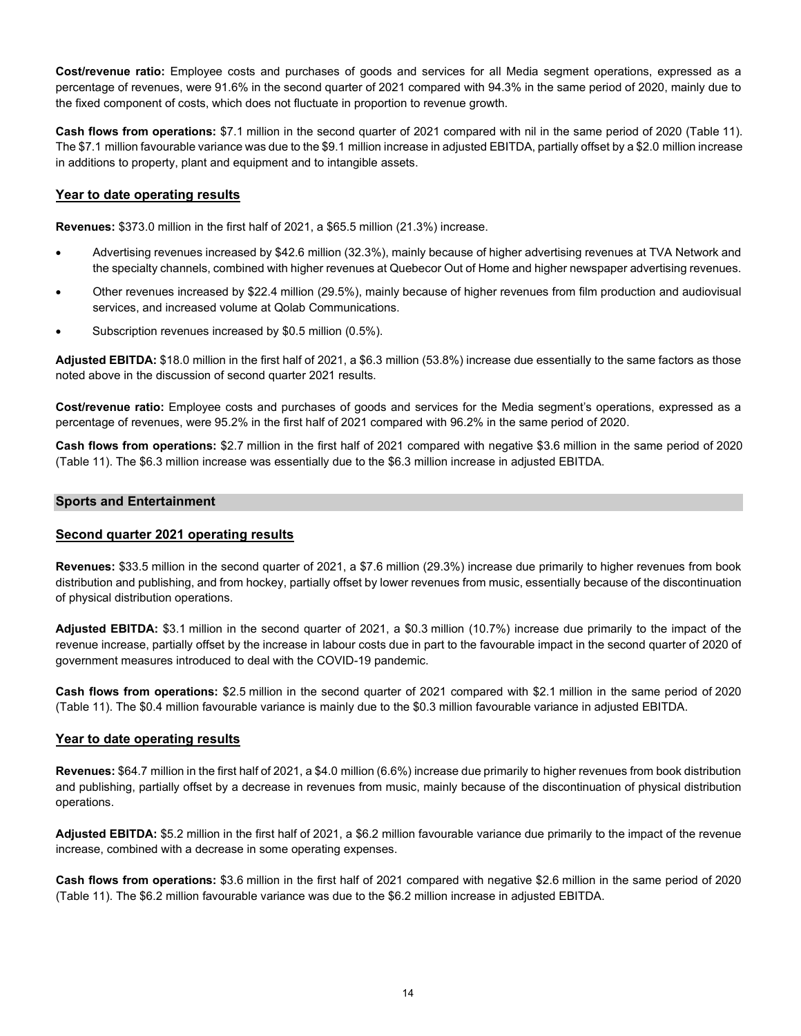**Cost/revenue ratio:** Employee costs and purchases of goods and services for all Media segment operations, expressed as a percentage of revenues, were 91.6% in the second quarter of 2021 compared with 94.3% in the same period of 2020, mainly due to the fixed component of costs, which does not fluctuate in proportion to revenue growth.

**Cash flows from operations:** \$7.1 million in the second quarter of 2021 compared with nil in the same period of 2020 (Table 11). The \$7.1 million favourable variance was due to the \$9.1 million increase in adjusted EBITDA, partially offset by a \$2.0 million increase in additions to property, plant and equipment and to intangible assets.

#### **Year to date operating results**

**Revenues:** \$373.0 million in the first half of 2021, a \$65.5 million (21.3%) increase.

- Advertising revenues increased by \$42.6 million (32.3%), mainly because of higher advertising revenues at TVA Network and the specialty channels, combined with higher revenues at Quebecor Out of Home and higher newspaper advertising revenues.
- Other revenues increased by \$22.4 million (29.5%), mainly because of higher revenues from film production and audiovisual services, and increased volume at Qolab Communications.
- Subscription revenues increased by \$0.5 million (0.5%).

**Adjusted EBITDA:** \$18.0 million in the first half of 2021, a \$6.3 million (53.8%) increase due essentially to the same factors as those noted above in the discussion of second quarter 2021 results.

**Cost/revenue ratio:** Employee costs and purchases of goods and services for the Media segment's operations, expressed as a percentage of revenues, were 95.2% in the first half of 2021 compared with 96.2% in the same period of 2020.

**Cash flows from operations:** \$2.7 million in the first half of 2021 compared with negative \$3.6 million in the same period of 2020 (Table 11). The \$6.3 million increase was essentially due to the \$6.3 million increase in adjusted EBITDA.

#### **Sports and Entertainment**

#### **Second quarter 2021 operating results**

**Revenues:** \$33.5 million in the second quarter of 2021, a \$7.6 million (29.3%) increase due primarily to higher revenues from book distribution and publishing, and from hockey, partially offset by lower revenues from music, essentially because of the discontinuation of physical distribution operations.

**Adjusted EBITDA:** \$3.1 million in the second quarter of 2021, a \$0.3 million (10.7%) increase due primarily to the impact of the revenue increase, partially offset by the increase in labour costs due in part to the favourable impact in the second quarter of 2020 of government measures introduced to deal with the COVID-19 pandemic.

**Cash flows from operations:** \$2.5 million in the second quarter of 2021 compared with \$2.1 million in the same period of 2020 (Table 11). The \$0.4 million favourable variance is mainly due to the \$0.3 million favourable variance in adjusted EBITDA.

#### **Year to date operating results**

**Revenues:** \$64.7 million in the first half of 2021, a \$4.0 million (6.6%) increase due primarily to higher revenues from book distribution and publishing, partially offset by a decrease in revenues from music, mainly because of the discontinuation of physical distribution operations.

**Adjusted EBITDA:** \$5.2 million in the first half of 2021, a \$6.2 million favourable variance due primarily to the impact of the revenue increase, combined with a decrease in some operating expenses.

**Cash flows from operations:** \$3.6 million in the first half of 2021 compared with negative \$2.6 million in the same period of 2020 (Table 11). The \$6.2 million favourable variance was due to the \$6.2 million increase in adjusted EBITDA.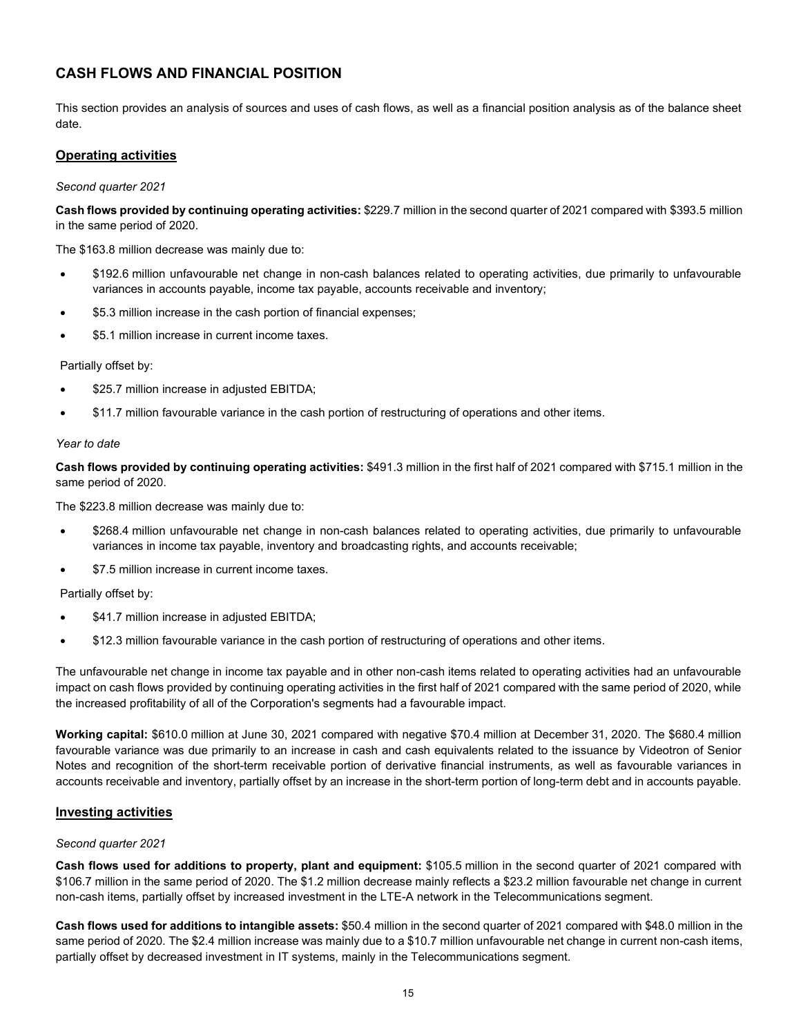## **CASH FLOWS AND FINANCIAL POSITION**

This section provides an analysis of sources and uses of cash flows, as well as a financial position analysis as of the balance sheet date.

### **Operating activities**

*Second quarter 2021*

**Cash flows provided by continuing operating activities:** \$229.7 million in the second quarter of 2021 compared with \$393.5 million in the same period of 2020.

The \$163.8 million decrease was mainly due to:

- \$192.6 million unfavourable net change in non-cash balances related to operating activities, due primarily to unfavourable variances in accounts payable, income tax payable, accounts receivable and inventory;
- \$5.3 million increase in the cash portion of financial expenses;
- \$5.1 million increase in current income taxes.

Partially offset by:

- \$25.7 million increase in adjusted EBITDA;
- \$11.7 million favourable variance in the cash portion of restructuring of operations and other items.

#### *Year to date*

**Cash flows provided by continuing operating activities:** \$491.3 million in the first half of 2021 compared with \$715.1 million in the same period of 2020.

The \$223.8 million decrease was mainly due to:

- \$268.4 million unfavourable net change in non-cash balances related to operating activities, due primarily to unfavourable variances in income tax payable, inventory and broadcasting rights, and accounts receivable;
- \$7.5 million increase in current income taxes.

Partially offset by:

- \$41.7 million increase in adjusted EBITDA;
- \$12.3 million favourable variance in the cash portion of restructuring of operations and other items.

The unfavourable net change in income tax payable and in other non-cash items related to operating activities had an unfavourable impact on cash flows provided by continuing operating activities in the first half of 2021 compared with the same period of 2020, while the increased profitability of all of the Corporation's segments had a favourable impact.

**Working capital:** \$610.0 million at June 30, 2021 compared with negative \$70.4 million at December 31, 2020. The \$680.4 million favourable variance was due primarily to an increase in cash and cash equivalents related to the issuance by Videotron of Senior Notes and recognition of the short-term receivable portion of derivative financial instruments, as well as favourable variances in accounts receivable and inventory, partially offset by an increase in the short-term portion of long-term debt and in accounts payable.

#### **Investing activities**

#### *Second quarter 2021*

**Cash flows used for additions to property, plant and equipment:** \$105.5 million in the second quarter of 2021 compared with \$106.7 million in the same period of 2020. The \$1.2 million decrease mainly reflects a \$23.2 million favourable net change in current non-cash items, partially offset by increased investment in the LTE-A network in the Telecommunications segment.

**Cash flows used for additions to intangible assets:** \$50.4 million in the second quarter of 2021 compared with \$48.0 million in the same period of 2020. The \$2.4 million increase was mainly due to a \$10.7 million unfavourable net change in current non-cash items, partially offset by decreased investment in IT systems, mainly in the Telecommunications segment.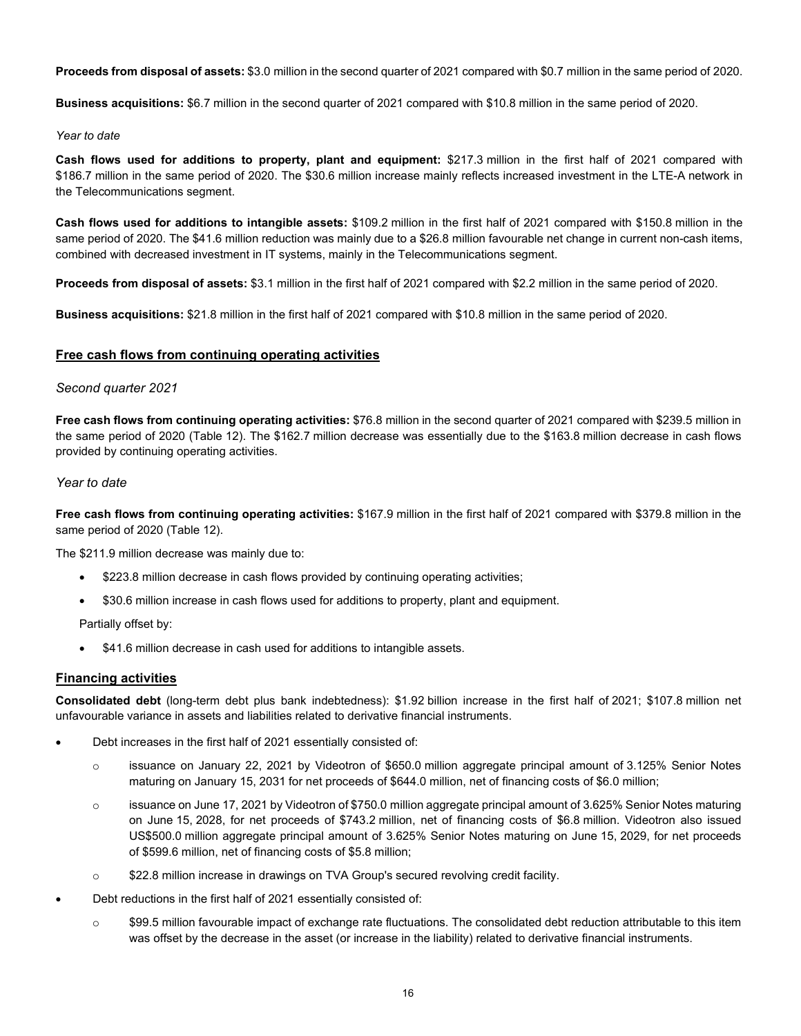**Proceeds from disposal of assets:** \$3.0 million in the second quarter of 2021 compared with \$0.7 million in the same period of 2020.

**Business acquisitions:** \$6.7 million in the second quarter of 2021 compared with \$10.8 million in the same period of 2020.

#### *Year to date*

**Cash flows used for additions to property, plant and equipment:** \$217.3 million in the first half of 2021 compared with \$186.7 million in the same period of 2020. The \$30.6 million increase mainly reflects increased investment in the LTE-A network in the Telecommunications segment.

**Cash flows used for additions to intangible assets:** \$109.2 million in the first half of 2021 compared with \$150.8 million in the same period of 2020. The \$41.6 million reduction was mainly due to a \$26.8 million favourable net change in current non-cash items, combined with decreased investment in IT systems, mainly in the Telecommunications segment.

**Proceeds from disposal of assets:** \$3.1 million in the first half of 2021 compared with \$2.2 million in the same period of 2020.

**Business acquisitions:** \$21.8 million in the first half of 2021 compared with \$10.8 million in the same period of 2020.

#### **Free cash flows from continuing operating activities**

#### *Second quarter 2021*

**Free cash flows from continuing operating activities:** \$76.8 million in the second quarter of 2021 compared with \$239.5 million in the same period of 2020 (Table 12). The \$162.7 million decrease was essentially due to the \$163.8 million decrease in cash flows provided by continuing operating activities.

#### *Year to date*

**Free cash flows from continuing operating activities:** \$167.9 million in the first half of 2021 compared with \$379.8 million in the same period of 2020 (Table 12).

The \$211.9 million decrease was mainly due to:

- \$223.8 million decrease in cash flows provided by continuing operating activities;
- \$30.6 million increase in cash flows used for additions to property, plant and equipment.

Partially offset by:

• \$41.6 million decrease in cash used for additions to intangible assets.

#### **Financing activities**

**Consolidated debt** (long-term debt plus bank indebtedness): \$1.92 billion increase in the first half of 2021; \$107.8 million net unfavourable variance in assets and liabilities related to derivative financial instruments.

- Debt increases in the first half of 2021 essentially consisted of:
	- o issuance on January 22, 2021 by Videotron of \$650.0 million aggregate principal amount of 3.125% Senior Notes maturing on January 15, 2031 for net proceeds of \$644.0 million, net of financing costs of \$6.0 million;
	- $\circ$  issuance on June 17, 2021 by Videotron of \$750.0 million aggregate principal amount of 3.625% Senior Notes maturing on June 15, 2028, for net proceeds of \$743.2 million, net of financing costs of \$6.8 million. Videotron also issued US\$500.0 million aggregate principal amount of 3.625% Senior Notes maturing on June 15, 2029, for net proceeds of \$599.6 million, net of financing costs of \$5.8 million;
	- o \$22.8 million increase in drawings on TVA Group's secured revolving credit facility.
- Debt reductions in the first half of 2021 essentially consisted of:
	- $\circ$  \$99.5 million favourable impact of exchange rate fluctuations. The consolidated debt reduction attributable to this item was offset by the decrease in the asset (or increase in the liability) related to derivative financial instruments.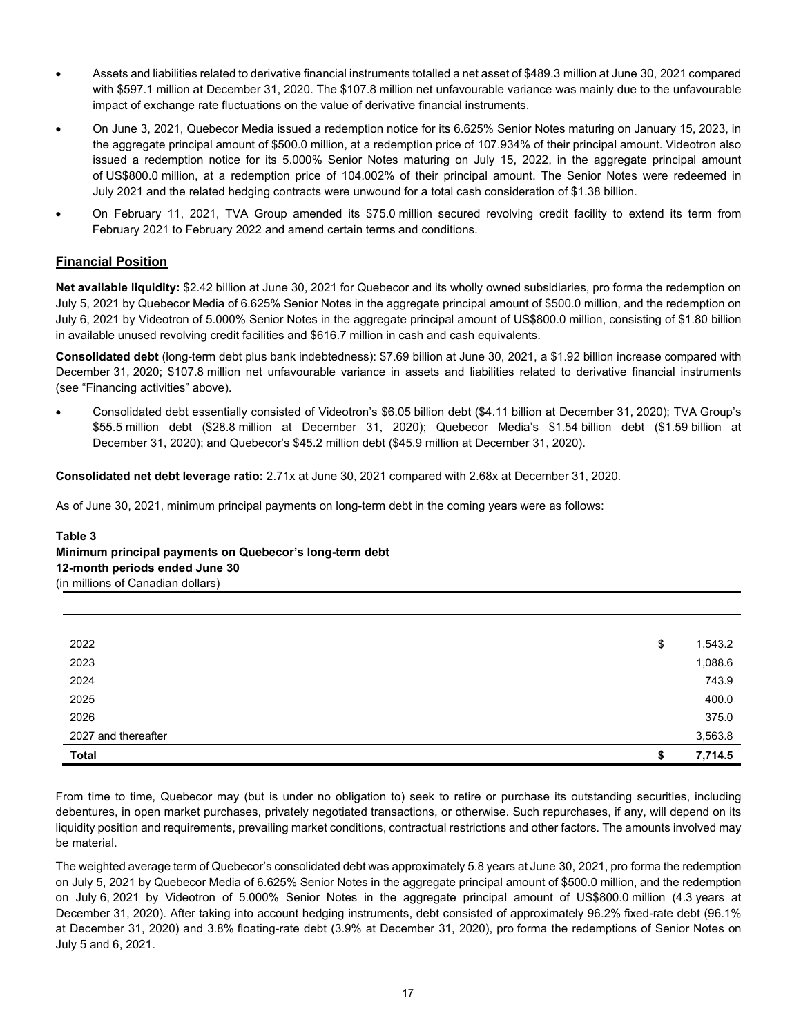- Assets and liabilities related to derivative financial instruments totalled a net asset of \$489.3 million at June 30, 2021 compared with \$597.1 million at December 31, 2020. The \$107.8 million net unfavourable variance was mainly due to the unfavourable impact of exchange rate fluctuations on the value of derivative financial instruments.
- On June 3, 2021, Quebecor Media issued a redemption notice for its 6.625% Senior Notes maturing on January 15, 2023, in the aggregate principal amount of \$500.0 million, at a redemption price of 107.934% of their principal amount. Videotron also issued a redemption notice for its 5.000% Senior Notes maturing on July 15, 2022, in the aggregate principal amount of US\$800.0 million, at a redemption price of 104.002% of their principal amount. The Senior Notes were redeemed in July 2021 and the related hedging contracts were unwound for a total cash consideration of \$1.38 billion.
- On February 11, 2021, TVA Group amended its \$75.0 million secured revolving credit facility to extend its term from February 2021 to February 2022 and amend certain terms and conditions.

#### **Financial Position**

**Net available liquidity:** \$2.42 billion at June 30, 2021 for Quebecor and its wholly owned subsidiaries, pro forma the redemption on July 5, 2021 by Quebecor Media of 6.625% Senior Notes in the aggregate principal amount of \$500.0 million, and the redemption on July 6, 2021 by Videotron of 5.000% Senior Notes in the aggregate principal amount of US\$800.0 million, consisting of \$1.80 billion in available unused revolving credit facilities and \$616.7 million in cash and cash equivalents.

**Consolidated debt** (long-term debt plus bank indebtedness): \$7.69 billion at June 30, 2021, a \$1.92 billion increase compared with December 31, 2020; \$107.8 million net unfavourable variance in assets and liabilities related to derivative financial instruments (see "Financing activities" above).

• Consolidated debt essentially consisted of Videotron's \$6.05 billion debt (\$4.11 billion at December 31, 2020); TVA Group's \$55.5 million debt (\$28.8 million at December 31, 2020); Quebecor Media's \$1.54 billion debt (\$1.59 billion at December 31, 2020); and Quebecor's \$45.2 million debt (\$45.9 million at December 31, 2020).

**Consolidated net debt leverage ratio:** 2.71x at June 30, 2021 compared with 2.68x at December 31, 2020.

As of June 30, 2021, minimum principal payments on long-term debt in the coming years were as follows:

#### **Table 3 Minimum principal payments on Quebecor's long-term debt 12-month periods ended June 30** (in millions of Canadian dollars)

| 2022                | \$ | 1,543.2 |
|---------------------|----|---------|
| 2023                |    | 1,088.6 |
| 2024                |    | 743.9   |
| 2025                |    | 400.0   |
| 2026                |    | 375.0   |
| 2027 and thereafter |    | 3,563.8 |
| <b>Total</b>        | S  | 7,714.5 |

From time to time, Quebecor may (but is under no obligation to) seek to retire or purchase its outstanding securities, including debentures, in open market purchases, privately negotiated transactions, or otherwise. Such repurchases, if any, will depend on its liquidity position and requirements, prevailing market conditions, contractual restrictions and other factors. The amounts involved may be material.

The weighted average term of Quebecor's consolidated debt was approximately 5.8 years at June 30, 2021, pro forma the redemption on July 5, 2021 by Quebecor Media of 6.625% Senior Notes in the aggregate principal amount of \$500.0 million, and the redemption on July 6, 2021 by Videotron of 5.000% Senior Notes in the aggregate principal amount of US\$800.0 million (4.3 years at December 31, 2020). After taking into account hedging instruments, debt consisted of approximately 96.2% fixed-rate debt (96.1% at December 31, 2020) and 3.8% floating-rate debt (3.9% at December 31, 2020), pro forma the redemptions of Senior Notes on July 5 and 6, 2021.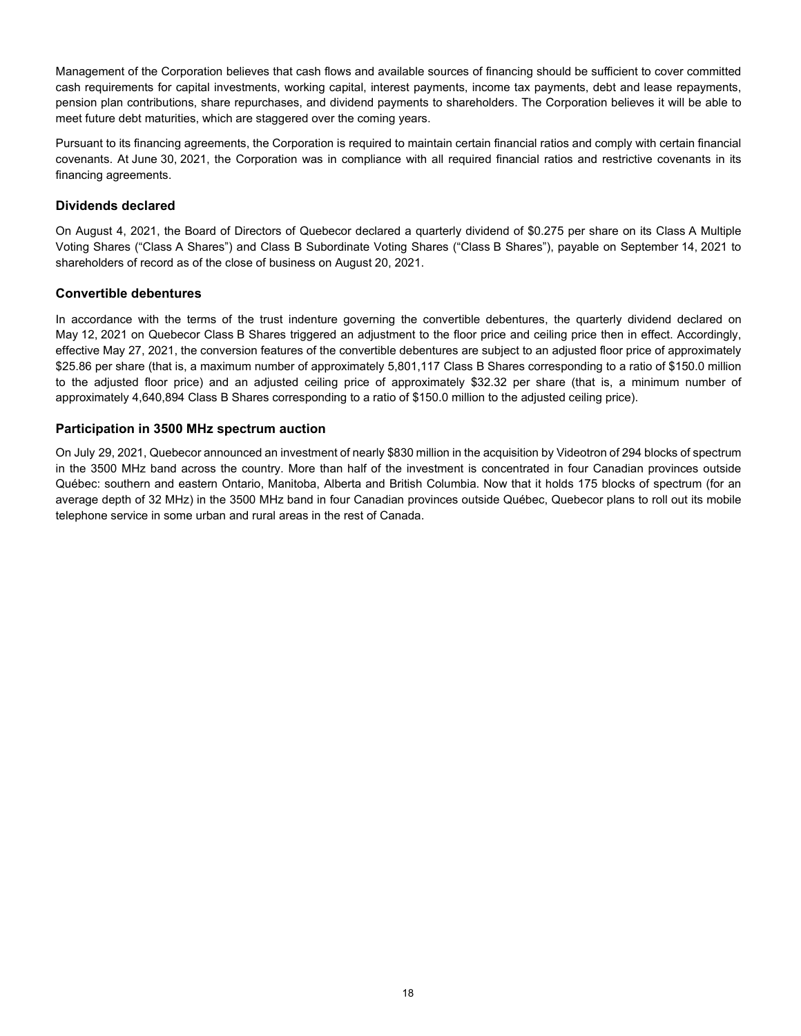Management of the Corporation believes that cash flows and available sources of financing should be sufficient to cover committed cash requirements for capital investments, working capital, interest payments, income tax payments, debt and lease repayments, pension plan contributions, share repurchases, and dividend payments to shareholders. The Corporation believes it will be able to meet future debt maturities, which are staggered over the coming years.

Pursuant to its financing agreements, the Corporation is required to maintain certain financial ratios and comply with certain financial covenants. At June 30, 2021, the Corporation was in compliance with all required financial ratios and restrictive covenants in its financing agreements.

#### **Dividends declared**

On August 4, 2021, the Board of Directors of Quebecor declared a quarterly dividend of \$0.275 per share on its Class A Multiple Voting Shares ("Class A Shares") and Class B Subordinate Voting Shares ("Class B Shares"), payable on September 14, 2021 to shareholders of record as of the close of business on August 20, 2021.

#### **Convertible debentures**

In accordance with the terms of the trust indenture governing the convertible debentures, the quarterly dividend declared on May 12, 2021 on Quebecor Class B Shares triggered an adjustment to the floor price and ceiling price then in effect. Accordingly, effective May 27, 2021, the conversion features of the convertible debentures are subject to an adjusted floor price of approximately \$25.86 per share (that is, a maximum number of approximately 5,801,117 Class B Shares corresponding to a ratio of \$150.0 million to the adjusted floor price) and an adjusted ceiling price of approximately \$32.32 per share (that is, a minimum number of approximately 4,640,894 Class B Shares corresponding to a ratio of \$150.0 million to the adjusted ceiling price).

#### **Participation in 3500 MHz spectrum auction**

On July 29, 2021, Quebecor announced an investment of nearly \$830 million in the acquisition by Videotron of 294 blocks of spectrum in the 3500 MHz band across the country. More than half of the investment is concentrated in four Canadian provinces outside Québec: southern and eastern Ontario, Manitoba, Alberta and British Columbia. Now that it holds 175 blocks of spectrum (for an average depth of 32 MHz) in the 3500 MHz band in four Canadian provinces outside Québec, Quebecor plans to roll out its mobile telephone service in some urban and rural areas in the rest of Canada.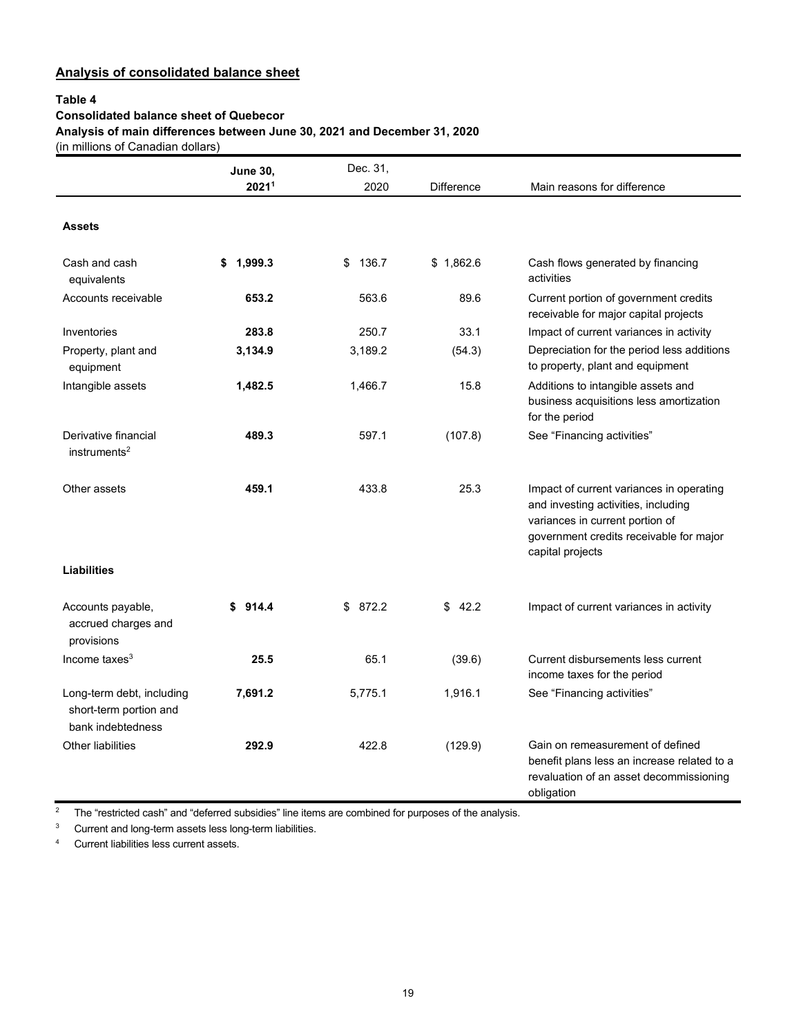## **Analysis of consolidated balance sheet**

#### **Table 4**

#### **Consolidated balance sheet of Quebecor**

**Analysis of main differences between June 30, 2021 and December 31, 2020**

(in millions of Canadian dollars)

|                                                                          | <b>June 30,</b> | Dec. 31,    |                   |                                                                                                                                                                                   |
|--------------------------------------------------------------------------|-----------------|-------------|-------------------|-----------------------------------------------------------------------------------------------------------------------------------------------------------------------------------|
|                                                                          | 20211           | 2020        | <b>Difference</b> | Main reasons for difference                                                                                                                                                       |
| <b>Assets</b>                                                            |                 |             |                   |                                                                                                                                                                                   |
| Cash and cash<br>equivalents                                             | 1.999.3<br>\$   | 136.7<br>\$ | \$1,862.6         | Cash flows generated by financing<br>activities                                                                                                                                   |
| Accounts receivable                                                      | 653.2           | 563.6       | 89.6              | Current portion of government credits<br>receivable for major capital projects                                                                                                    |
| Inventories                                                              | 283.8           | 250.7       | 33.1              | Impact of current variances in activity                                                                                                                                           |
| Property, plant and<br>equipment                                         | 3,134.9         | 3,189.2     | (54.3)            | Depreciation for the period less additions<br>to property, plant and equipment                                                                                                    |
| Intangible assets                                                        | 1,482.5         | 1,466.7     | 15.8              | Additions to intangible assets and<br>business acquisitions less amortization<br>for the period                                                                                   |
| Derivative financial<br>instruments <sup>2</sup>                         | 489.3           | 597.1       | (107.8)           | See "Financing activities"                                                                                                                                                        |
| Other assets                                                             | 459.1           | 433.8       | 25.3              | Impact of current variances in operating<br>and investing activities, including<br>variances in current portion of<br>government credits receivable for major<br>capital projects |
| <b>Liabilities</b>                                                       |                 |             |                   |                                                                                                                                                                                   |
| Accounts payable,<br>accrued charges and<br>provisions                   | 914.4<br>\$     | \$<br>872.2 | \$<br>42.2        | Impact of current variances in activity                                                                                                                                           |
| Income taxes $3$                                                         | 25.5            | 65.1        | (39.6)            | Current disbursements less current<br>income taxes for the period                                                                                                                 |
| Long-term debt, including<br>short-term portion and<br>bank indebtedness | 7,691.2         | 5,775.1     | 1,916.1           | See "Financing activities"                                                                                                                                                        |
| <b>Other liabilities</b>                                                 | 292.9           | 422.8       | (129.9)           | Gain on remeasurement of defined<br>benefit plans less an increase related to a<br>revaluation of an asset decommissioning<br>obligation                                          |

<sup>2</sup> The "restricted cash" and "deferred subsidies" line items are combined for purposes of the analysis.

<sup>3</sup> Current and long-term assets less long-term liabilities.<br><sup>4</sup> Current liabilities less current assets

Current liabilities less current assets.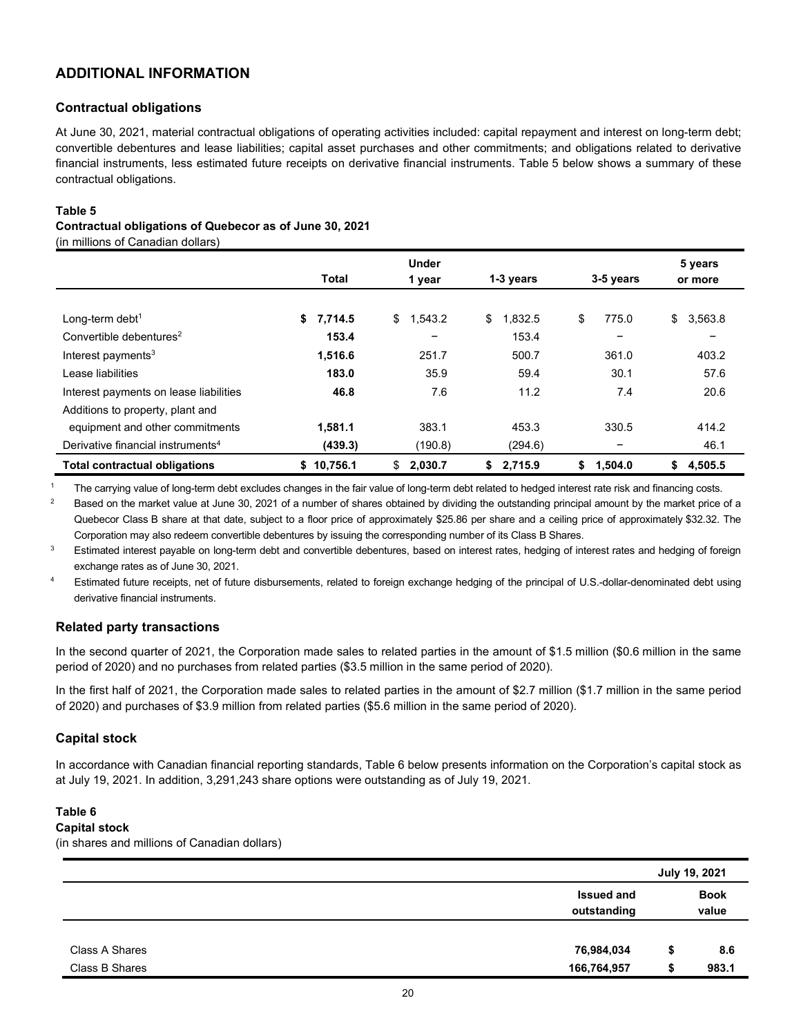## **ADDITIONAL INFORMATION**

#### **Contractual obligations**

At June 30, 2021, material contractual obligations of operating activities included: capital repayment and interest on long-term debt; convertible debentures and lease liabilities; capital asset purchases and other commitments; and obligations related to derivative financial instruments, less estimated future receipts on derivative financial instruments. Table 5 below shows a summary of these contractual obligations.

#### **Table 5**

#### **Contractual obligations of Quebecor as of June 30, 2021**

(in millions of Canadian dollars)

|                                               |               | <b>Under</b>  |               |               | 5 years       |
|-----------------------------------------------|---------------|---------------|---------------|---------------|---------------|
|                                               | Total         | 1 year        | 1-3 years     | 3-5 years     | or more       |
|                                               |               |               |               |               |               |
| Long-term debt <sup>1</sup>                   | 7,714.5<br>\$ | \$<br>1,543.2 | 1,832.5<br>\$ | \$<br>775.0   | \$<br>3,563.8 |
| Convertible debentures <sup>2</sup>           | 153.4         | -             | 153.4         | -             | -             |
| Interest payments $3$                         | 1,516.6       | 251.7         | 500.7         | 361.0         | 403.2         |
| Lease liabilities                             | 183.0         | 35.9          | 59.4          | 30.1          | 57.6          |
| Interest payments on lease liabilities        | 46.8          | 7.6           | 11.2          | 7.4           | 20.6          |
| Additions to property, plant and              |               |               |               |               |               |
| equipment and other commitments               | 1,581.1       | 383.1         | 453.3         | 330.5         | 414.2         |
| Derivative financial instruments <sup>4</sup> | (439.3)       | (190.8)       | (294.6)       |               | 46.1          |
| <b>Total contractual obligations</b>          | \$10,756.1    | 2,030.7<br>S. | 2,715.9<br>\$ | 1,504.0<br>S. | 4,505.5<br>S  |

<sup>1</sup> The carrying value of long-term debt excludes changes in the fair value of long-term debt related to hedged interest rate risk and financing costs.

<sup>2</sup> Based on the market value at June 30, 2021 of a number of shares obtained by dividing the outstanding principal amount by the market price of a Quebecor Class B share at that date, subject to a floor price of approximately \$25.86 per share and a ceiling price of approximately \$32.32. The Corporation may also redeem convertible debentures by issuing the corresponding number of its Class B Shares.

<sup>3</sup> Estimated interest payable on long-term debt and convertible debentures, based on interest rates, hedging of interest rates and hedging of foreign exchange rates as of June 30, 2021.

<sup>4</sup> Estimated future receipts, net of future disbursements, related to foreign exchange hedging of the principal of U.S.-dollar-denominated debt using derivative financial instruments.

#### **Related party transactions**

In the second quarter of 2021, the Corporation made sales to related parties in the amount of \$1.5 million (\$0.6 million in the same period of 2020) and no purchases from related parties (\$3.5 million in the same period of 2020).

In the first half of 2021, the Corporation made sales to related parties in the amount of \$2.7 million (\$1.7 million in the same period of 2020) and purchases of \$3.9 million from related parties (\$5.6 million in the same period of 2020).

#### **Capital stock**

In accordance with Canadian financial reporting standards, Table 6 below presents information on the Corporation's capital stock as at July 19, 2021. In addition, 3,291,243 share options were outstanding as of July 19, 2021.

## **Table 6**

#### **Capital stock**

(in shares and millions of Canadian dollars)

|                |                                  |    | July 19, 2021        |
|----------------|----------------------------------|----|----------------------|
|                | <b>Issued and</b><br>outstanding |    | <b>Book</b><br>value |
|                |                                  |    |                      |
| Class A Shares | 76,984,034                       | \$ | 8.6                  |
| Class B Shares | 166,764,957                      | æ  | 983.1                |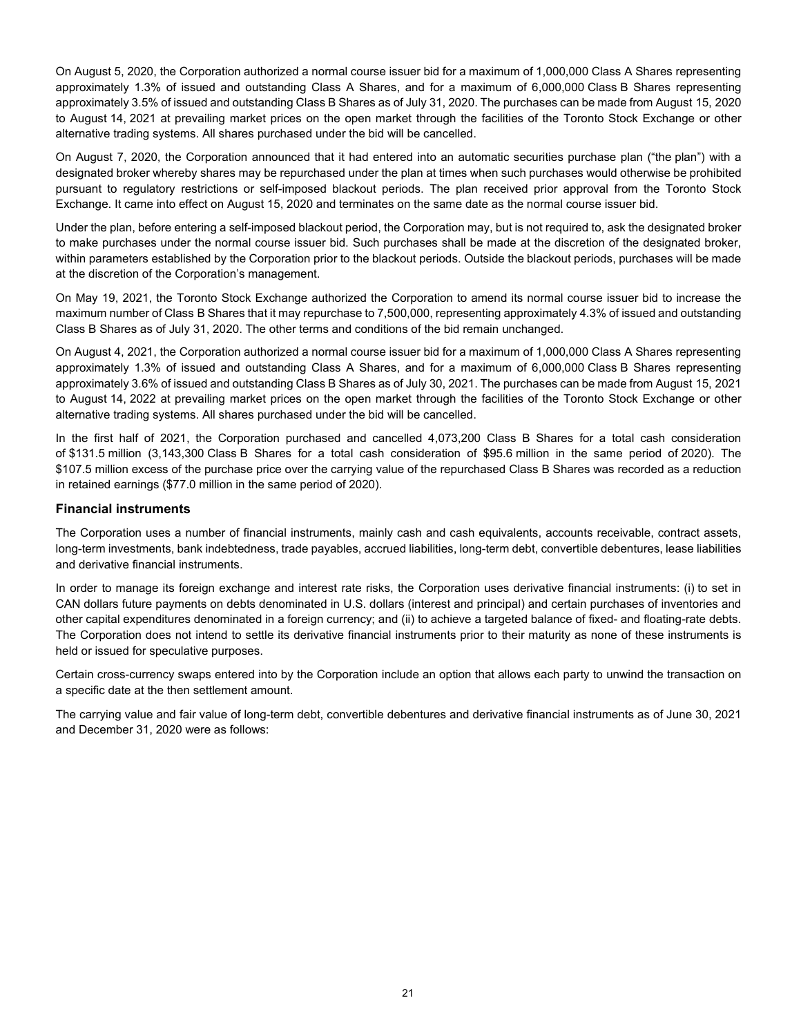On August 5, 2020, the Corporation authorized a normal course issuer bid for a maximum of 1,000,000 Class A Shares representing approximately 1.3% of issued and outstanding Class A Shares, and for a maximum of 6,000,000 Class B Shares representing approximately 3.5% of issued and outstanding Class B Shares as of July 31, 2020. The purchases can be made from August 15, 2020 to August 14, 2021 at prevailing market prices on the open market through the facilities of the Toronto Stock Exchange or other alternative trading systems. All shares purchased under the bid will be cancelled.

On August 7, 2020, the Corporation announced that it had entered into an automatic securities purchase plan ("the plan") with a designated broker whereby shares may be repurchased under the plan at times when such purchases would otherwise be prohibited pursuant to regulatory restrictions or self-imposed blackout periods. The plan received prior approval from the Toronto Stock Exchange. It came into effect on August 15, 2020 and terminates on the same date as the normal course issuer bid.

Under the plan, before entering a self-imposed blackout period, the Corporation may, but is not required to, ask the designated broker to make purchases under the normal course issuer bid. Such purchases shall be made at the discretion of the designated broker, within parameters established by the Corporation prior to the blackout periods. Outside the blackout periods, purchases will be made at the discretion of the Corporation's management.

On May 19, 2021, the Toronto Stock Exchange authorized the Corporation to amend its normal course issuer bid to increase the maximum number of Class B Shares that it may repurchase to 7,500,000, representing approximately 4.3% of issued and outstanding Class B Shares as of July 31, 2020. The other terms and conditions of the bid remain unchanged.

On August 4, 2021, the Corporation authorized a normal course issuer bid for a maximum of 1,000,000 Class A Shares representing approximately 1.3% of issued and outstanding Class A Shares, and for a maximum of 6,000,000 Class B Shares representing approximately 3.6% of issued and outstanding Class B Shares as of July 30, 2021. The purchases can be made from August 15, 2021 to August 14, 2022 at prevailing market prices on the open market through the facilities of the Toronto Stock Exchange or other alternative trading systems. All shares purchased under the bid will be cancelled.

In the first half of 2021, the Corporation purchased and cancelled 4,073,200 Class B Shares for a total cash consideration of \$131.5 million (3,143,300 Class B Shares for a total cash consideration of \$95.6 million in the same period of 2020). The \$107.5 million excess of the purchase price over the carrying value of the repurchased Class B Shares was recorded as a reduction in retained earnings (\$77.0 million in the same period of 2020).

#### **Financial instruments**

The Corporation uses a number of financial instruments, mainly cash and cash equivalents, accounts receivable, contract assets, long-term investments, bank indebtedness, trade payables, accrued liabilities, long-term debt, convertible debentures, lease liabilities and derivative financial instruments.

In order to manage its foreign exchange and interest rate risks, the Corporation uses derivative financial instruments: (i) to set in CAN dollars future payments on debts denominated in U.S. dollars (interest and principal) and certain purchases of inventories and other capital expenditures denominated in a foreign currency; and (ii) to achieve a targeted balance of fixed- and floating-rate debts. The Corporation does not intend to settle its derivative financial instruments prior to their maturity as none of these instruments is held or issued for speculative purposes.

Certain cross-currency swaps entered into by the Corporation include an option that allows each party to unwind the transaction on a specific date at the then settlement amount.

The carrying value and fair value of long-term debt, convertible debentures and derivative financial instruments as of June 30, 2021 and December 31, 2020 were as follows: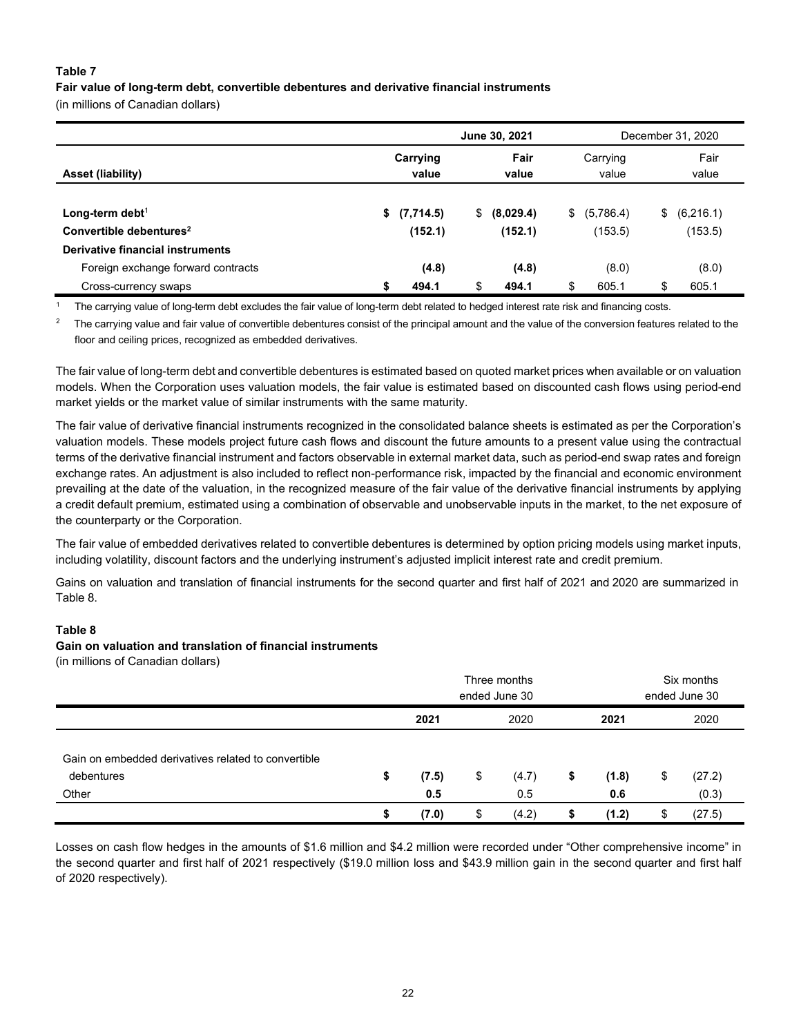#### **Table 7**

#### **Fair value of long-term debt, convertible debentures and derivative financial instruments**

(in millions of Canadian dollars)

|                                     |                   | June 30, 2021   | December 31, 2020 |    |               |  |
|-------------------------------------|-------------------|-----------------|-------------------|----|---------------|--|
| <b>Asset (liability)</b>            | Carrying<br>value | Fair<br>value   | Carrying<br>value |    | Fair<br>value |  |
| Long-term debt <sup>1</sup>         | \$<br>(7,714.5)   | \$<br>(8,029.4) | \$ (5,786.4)      | \$ | (6,216.1)     |  |
| Convertible debentures <sup>2</sup> | (152.1)           | (152.1)         | (153.5)           |    | (153.5)       |  |
| Derivative financial instruments    |                   |                 |                   |    |               |  |
| Foreign exchange forward contracts  | (4.8)             | (4.8)           | (8.0)             |    | (8.0)         |  |
| Cross-currency swaps                | 494.1             | \$<br>494.1     | \$<br>605.1       | \$ | 605.1         |  |

<sup>1</sup> The carrying value of long-term debt excludes the fair value of long-term debt related to hedged interest rate risk and financing costs.

<sup>2</sup> The carrying value and fair value of convertible debentures consist of the principal amount and the value of the conversion features related to the floor and ceiling prices, recognized as embedded derivatives.

The fair value of long-term debt and convertible debentures is estimated based on quoted market prices when available or on valuation models. When the Corporation uses valuation models, the fair value is estimated based on discounted cash flows using period-end market yields or the market value of similar instruments with the same maturity.

The fair value of derivative financial instruments recognized in the consolidated balance sheets is estimated as per the Corporation's valuation models. These models project future cash flows and discount the future amounts to a present value using the contractual terms of the derivative financial instrument and factors observable in external market data, such as period-end swap rates and foreign exchange rates. An adjustment is also included to reflect non-performance risk, impacted by the financial and economic environment prevailing at the date of the valuation, in the recognized measure of the fair value of the derivative financial instruments by applying a credit default premium, estimated using a combination of observable and unobservable inputs in the market, to the net exposure of the counterparty or the Corporation.

The fair value of embedded derivatives related to convertible debentures is determined by option pricing models using market inputs, including volatility, discount factors and the underlying instrument's adjusted implicit interest rate and credit premium.

Gains on valuation and translation of financial instruments for the second quarter and first half of 2021 and 2020 are summarized in Table 8.

#### **Table 8**

#### **Gain on valuation and translation of financial instruments**

(in millions of Canadian dollars)

|                                                                   | Three months<br>ended June 30 |                            |      |       |       | Six months<br>ended June 30 |        |        |  |
|-------------------------------------------------------------------|-------------------------------|----------------------------|------|-------|-------|-----------------------------|--------|--------|--|
|                                                                   |                               | 2021                       | 2020 |       |       | 2021                        |        | 2020   |  |
| Gain on embedded derivatives related to convertible<br>debentures | \$                            | (4.7)<br>\$<br>(7.5)<br>\$ |      |       | (1.8) | \$                          | (27.2) |        |  |
| Other                                                             |                               | 0.5                        |      | 0.5   |       | 0.6                         |        | (0.3)  |  |
|                                                                   |                               | (7.0)                      | \$   | (4.2) | S     | (1.2)                       | \$     | (27.5) |  |

Losses on cash flow hedges in the amounts of \$1.6 million and \$4.2 million were recorded under "Other comprehensive income" in the second quarter and first half of 2021 respectively (\$19.0 million loss and \$43.9 million gain in the second quarter and first half of 2020 respectively).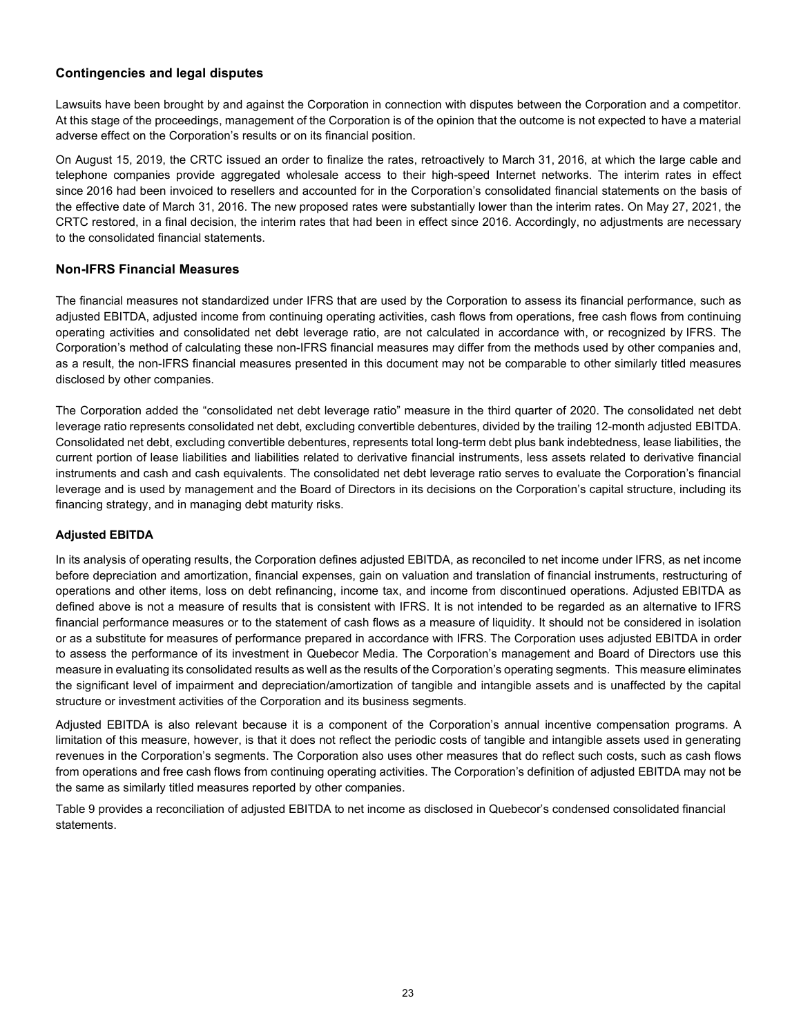### **Contingencies and legal disputes**

Lawsuits have been brought by and against the Corporation in connection with disputes between the Corporation and a competitor. At this stage of the proceedings, management of the Corporation is of the opinion that the outcome is not expected to have a material adverse effect on the Corporation's results or on its financial position.

On August 15, 2019, the CRTC issued an order to finalize the rates, retroactively to March 31, 2016, at which the large cable and telephone companies provide aggregated wholesale access to their high-speed Internet networks. The interim rates in effect since 2016 had been invoiced to resellers and accounted for in the Corporation's consolidated financial statements on the basis of the effective date of March 31, 2016. The new proposed rates were substantially lower than the interim rates. On May 27, 2021, the CRTC restored, in a final decision, the interim rates that had been in effect since 2016. Accordingly, no adjustments are necessary to the consolidated financial statements.

#### **Non-IFRS Financial Measures**

The financial measures not standardized under IFRS that are used by the Corporation to assess its financial performance, such as adjusted EBITDA, adjusted income from continuing operating activities, cash flows from operations, free cash flows from continuing operating activities and consolidated net debt leverage ratio, are not calculated in accordance with, or recognized by IFRS. The Corporation's method of calculating these non-IFRS financial measures may differ from the methods used by other companies and, as a result, the non-IFRS financial measures presented in this document may not be comparable to other similarly titled measures disclosed by other companies.

The Corporation added the "consolidated net debt leverage ratio" measure in the third quarter of 2020. The consolidated net debt leverage ratio represents consolidated net debt, excluding convertible debentures, divided by the trailing 12-month adjusted EBITDA. Consolidated net debt, excluding convertible debentures, represents total long-term debt plus bank indebtedness, lease liabilities, the current portion of lease liabilities and liabilities related to derivative financial instruments, less assets related to derivative financial instruments and cash and cash equivalents. The consolidated net debt leverage ratio serves to evaluate the Corporation's financial leverage and is used by management and the Board of Directors in its decisions on the Corporation's capital structure, including its financing strategy, and in managing debt maturity risks.

#### **Adjusted EBITDA**

In its analysis of operating results, the Corporation defines adjusted EBITDA, as reconciled to net income under IFRS, as net income before depreciation and amortization, financial expenses, gain on valuation and translation of financial instruments, restructuring of operations and other items, loss on debt refinancing, income tax, and income from discontinued operations. Adjusted EBITDA as defined above is not a measure of results that is consistent with IFRS. It is not intended to be regarded as an alternative to IFRS financial performance measures or to the statement of cash flows as a measure of liquidity. It should not be considered in isolation or as a substitute for measures of performance prepared in accordance with IFRS. The Corporation uses adjusted EBITDA in order to assess the performance of its investment in Quebecor Media. The Corporation's management and Board of Directors use this measure in evaluating its consolidated results as well as the results of the Corporation's operating segments. This measure eliminates the significant level of impairment and depreciation/amortization of tangible and intangible assets and is unaffected by the capital structure or investment activities of the Corporation and its business segments.

Adjusted EBITDA is also relevant because it is a component of the Corporation's annual incentive compensation programs. A limitation of this measure, however, is that it does not reflect the periodic costs of tangible and intangible assets used in generating revenues in the Corporation's segments. The Corporation also uses other measures that do reflect such costs, such as cash flows from operations and free cash flows from continuing operating activities. The Corporation's definition of adjusted EBITDA may not be the same as similarly titled measures reported by other companies.

Table 9 provides a reconciliation of adjusted EBITDA to net income as disclosed in Quebecor's condensed consolidated financial statements.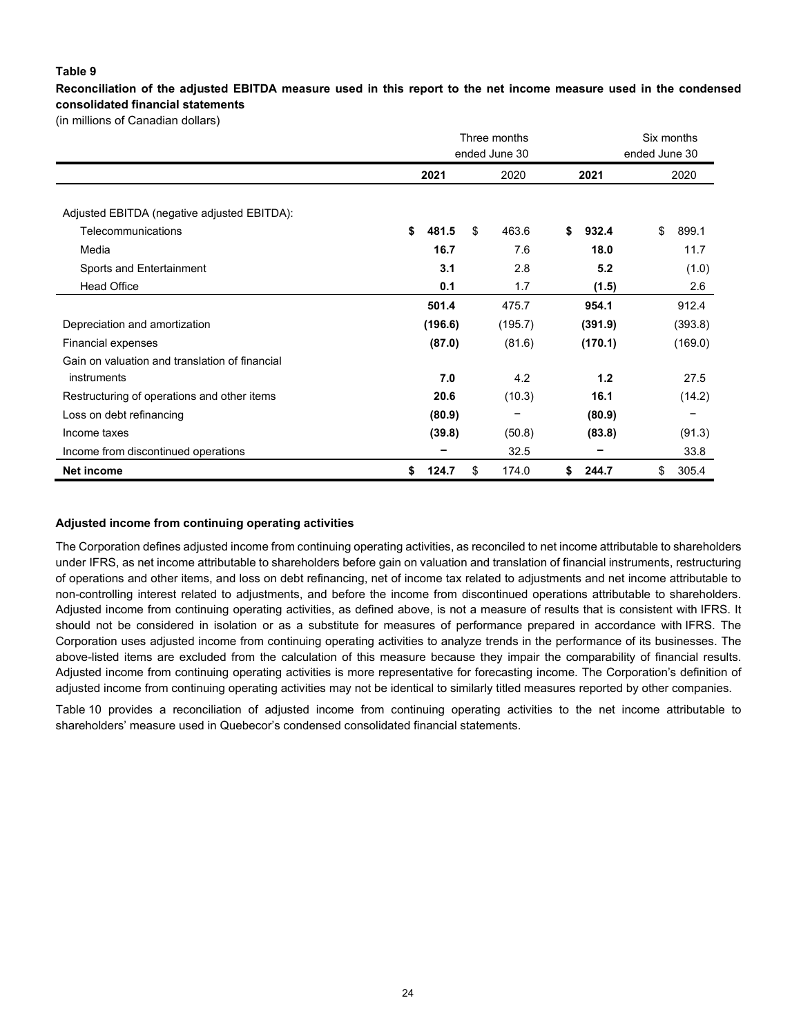#### **Table 9**

**Reconciliation of the adjusted EBITDA measure used in this report to the net income measure used in the condensed consolidated financial statements** 

(in millions of Canadian dollars)

|                                                | Three months  |             | Six months    |             |  |
|------------------------------------------------|---------------|-------------|---------------|-------------|--|
|                                                | ended June 30 |             | ended June 30 |             |  |
|                                                | 2021<br>2020  |             | 2021          | 2020        |  |
|                                                |               |             |               |             |  |
| Adjusted EBITDA (negative adjusted EBITDA):    |               |             |               |             |  |
| Telecommunications                             | \$<br>481.5   | 463.6<br>\$ | \$<br>932.4   | \$<br>899.1 |  |
| Media                                          | 16.7          | 7.6         | 18.0          | 11.7        |  |
| Sports and Entertainment                       | 3.1           | 2.8         | 5.2           | (1.0)       |  |
| <b>Head Office</b>                             | 0.1           | 1.7         | (1.5)         | 2.6         |  |
|                                                | 501.4         | 475.7       | 954.1         | 912.4       |  |
| Depreciation and amortization                  | (196.6)       | (195.7)     | (391.9)       | (393.8)     |  |
| <b>Financial expenses</b>                      | (87.0)        | (81.6)      | (170.1)       | (169.0)     |  |
| Gain on valuation and translation of financial |               |             |               |             |  |
| instruments                                    | 7.0           | 4.2         | 1.2           | 27.5        |  |
| Restructuring of operations and other items    | 20.6          | (10.3)      | 16.1          | (14.2)      |  |
| Loss on debt refinancing                       | (80.9)        |             | (80.9)        |             |  |
| Income taxes                                   | (39.8)        | (50.8)      | (83.8)        | (91.3)      |  |
| Income from discontinued operations            |               | 32.5        |               | 33.8        |  |
| Net income                                     | 124.7<br>\$   | \$<br>174.0 | \$<br>244.7   | \$<br>305.4 |  |

#### **Adjusted income from continuing operating activities**

The Corporation defines adjusted income from continuing operating activities, as reconciled to net income attributable to shareholders under IFRS, as net income attributable to shareholders before gain on valuation and translation of financial instruments, restructuring of operations and other items, and loss on debt refinancing, net of income tax related to adjustments and net income attributable to non-controlling interest related to adjustments, and before the income from discontinued operations attributable to shareholders. Adjusted income from continuing operating activities, as defined above, is not a measure of results that is consistent with IFRS. It should not be considered in isolation or as a substitute for measures of performance prepared in accordance with IFRS. The Corporation uses adjusted income from continuing operating activities to analyze trends in the performance of its businesses. The above-listed items are excluded from the calculation of this measure because they impair the comparability of financial results. Adjusted income from continuing operating activities is more representative for forecasting income. The Corporation's definition of adjusted income from continuing operating activities may not be identical to similarly titled measures reported by other companies.

Table 10 provides a reconciliation of adjusted income from continuing operating activities to the net income attributable to shareholders' measure used in Quebecor's condensed consolidated financial statements.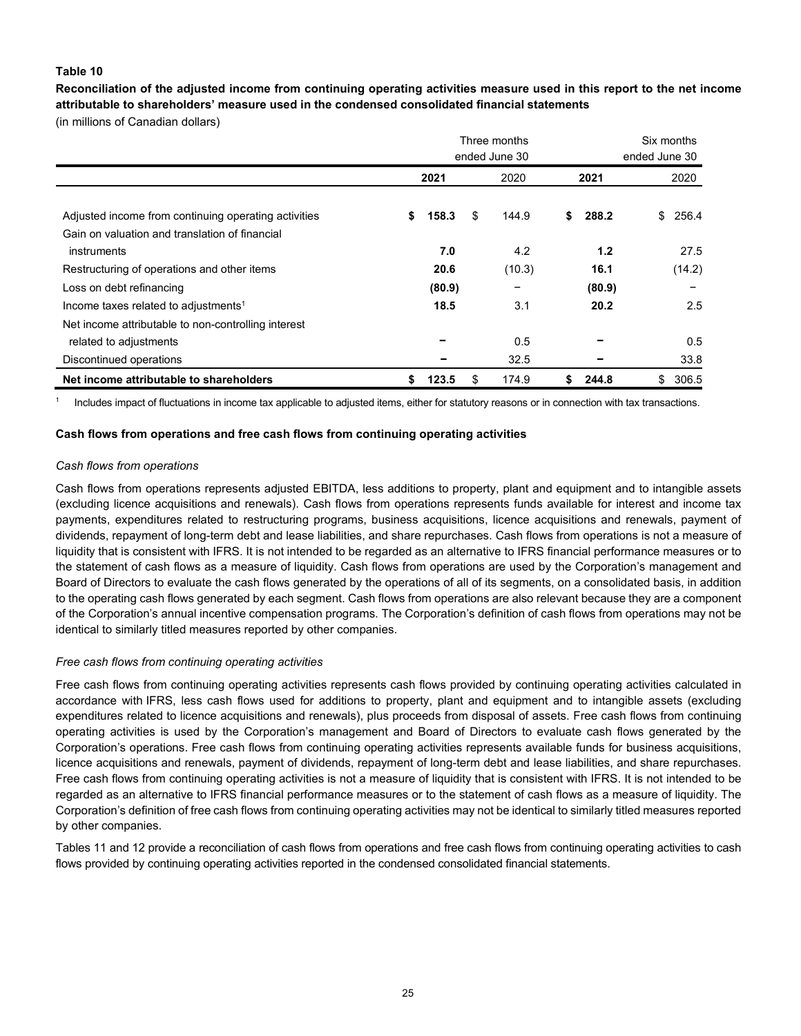#### **Table 10**

**Reconciliation of the adjusted income from continuing operating activities measure used in this report to the net income attributable to shareholders' measure used in the condensed consolidated financial statements**

(in millions of Canadian dollars)

|                                                      | Three months<br>ended June 30 |        |      |        |    | Six months<br>ended June 30 |             |  |
|------------------------------------------------------|-------------------------------|--------|------|--------|----|-----------------------------|-------------|--|
|                                                      | 2021                          |        | 2020 | 2021   |    | 2020                        |             |  |
| Adjusted income from continuing operating activities | S                             | 158.3  | \$   | 144.9  | \$ | 288.2                       | 256.4<br>\$ |  |
| Gain on valuation and translation of financial       |                               |        |      |        |    |                             |             |  |
| instruments                                          |                               | 7.0    |      | 4.2    |    | 1.2                         | 27.5        |  |
| Restructuring of operations and other items          |                               | 20.6   |      | (10.3) |    | 16.1                        | (14.2)      |  |
| Loss on debt refinancing                             |                               | (80.9) |      |        |    | (80.9)                      |             |  |
| Income taxes related to adjustments <sup>1</sup>     |                               | 18.5   |      | 3.1    |    | 20.2                        | 2.5         |  |
| Net income attributable to non-controlling interest  |                               |        |      |        |    |                             |             |  |
| related to adjustments                               |                               |        |      | 0.5    |    |                             | 0.5         |  |
| Discontinued operations                              |                               |        |      | 32.5   |    |                             | 33.8        |  |
| Net income attributable to shareholders              | S                             | 123.5  | \$   | 174.9  | S. | 244.8                       | 306.5<br>\$ |  |

<sup>1</sup> Includes impact of fluctuations in income tax applicable to adjusted items, either for statutory reasons or in connection with tax transactions.

#### **Cash flows from operations and free cash flows from continuing operating activities**

#### *Cash flows from operations*

Cash flows from operations represents adjusted EBITDA, less additions to property, plant and equipment and to intangible assets (excluding licence acquisitions and renewals). Cash flows from operations represents funds available for interest and income tax payments, expenditures related to restructuring programs, business acquisitions, licence acquisitions and renewals, payment of dividends, repayment of long-term debt and lease liabilities, and share repurchases. Cash flows from operations is not a measure of liquidity that is consistent with IFRS. It is not intended to be regarded as an alternative to IFRS financial performance measures or to the statement of cash flows as a measure of liquidity. Cash flows from operations are used by the Corporation's management and Board of Directors to evaluate the cash flows generated by the operations of all of its segments, on a consolidated basis, in addition to the operating cash flows generated by each segment. Cash flows from operations are also relevant because they are a component of the Corporation's annual incentive compensation programs. The Corporation's definition of cash flows from operations may not be identical to similarly titled measures reported by other companies.

#### *Free cash flows from continuing operating activities*

Free cash flows from continuing operating activities represents cash flows provided by continuing operating activities calculated in accordance with IFRS, less cash flows used for additions to property, plant and equipment and to intangible assets (excluding expenditures related to licence acquisitions and renewals), plus proceeds from disposal of assets. Free cash flows from continuing operating activities is used by the Corporation's management and Board of Directors to evaluate cash flows generated by the Corporation's operations. Free cash flows from continuing operating activities represents available funds for business acquisitions, licence acquisitions and renewals, payment of dividends, repayment of long-term debt and lease liabilities, and share repurchases. Free cash flows from continuing operating activities is not a measure of liquidity that is consistent with IFRS. It is not intended to be regarded as an alternative to IFRS financial performance measures or to the statement of cash flows as a measure of liquidity. The Corporation's definition of free cash flows from continuing operating activities may not be identical to similarly titled measures reported by other companies.

Tables 11 and 12 provide a reconciliation of cash flows from operations and free cash flows from continuing operating activities to cash flows provided by continuing operating activities reported in the condensed consolidated financial statements.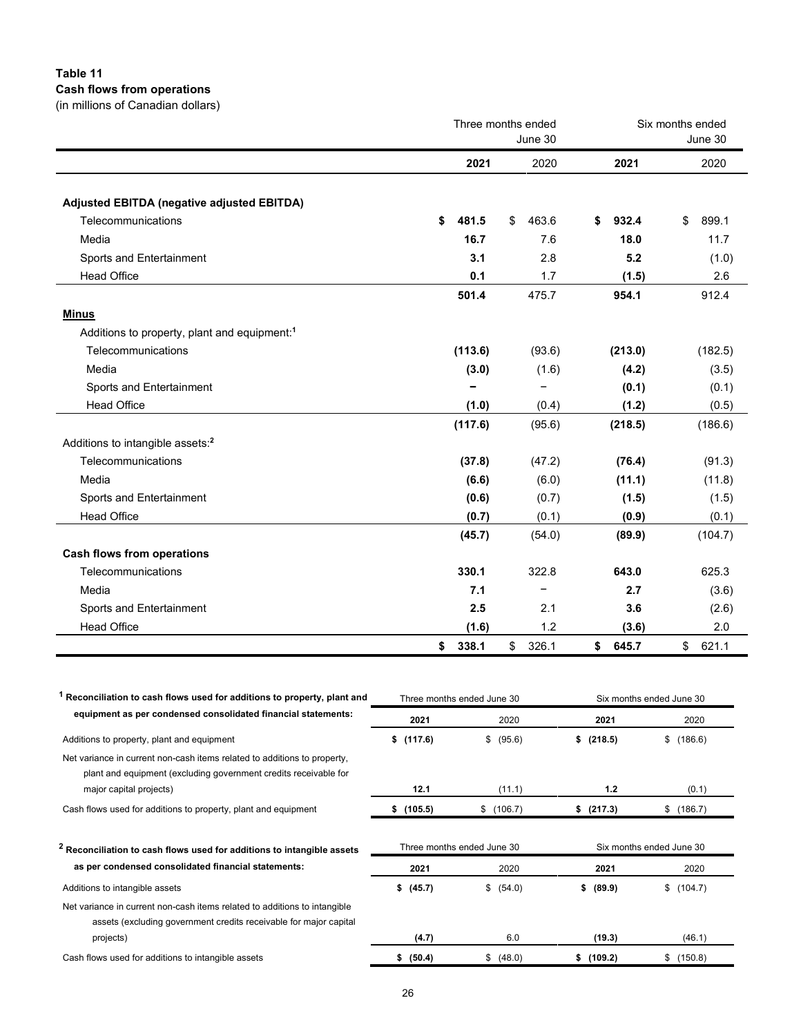## **Table 11 Cash flows from operations**

(in millions of Canadian dollars)

|                                                          |             | Three months ended<br>June 30 | Six months ended<br>June 30 |             |  |  |
|----------------------------------------------------------|-------------|-------------------------------|-----------------------------|-------------|--|--|
|                                                          | 2021        | 2020                          | 2021                        | 2020        |  |  |
| Adjusted EBITDA (negative adjusted EBITDA)               |             |                               |                             |             |  |  |
| Telecommunications                                       | \$<br>481.5 | 463.6<br>\$                   | 932.4<br>\$                 | \$<br>899.1 |  |  |
| Media                                                    | 16.7        | 7.6                           | 18.0                        | 11.7        |  |  |
| Sports and Entertainment                                 | 3.1         | 2.8                           | 5.2                         | (1.0)       |  |  |
| <b>Head Office</b>                                       | 0.1         | 1.7                           | (1.5)                       | 2.6         |  |  |
|                                                          | 501.4       | 475.7                         | 954.1                       | 912.4       |  |  |
| <b>Minus</b>                                             |             |                               |                             |             |  |  |
| Additions to property, plant and equipment: <sup>1</sup> |             |                               |                             |             |  |  |
| Telecommunications                                       | (113.6)     | (93.6)                        | (213.0)                     | (182.5)     |  |  |
| Media                                                    | (3.0)       | (1.6)                         | (4.2)                       | (3.5)       |  |  |
| Sports and Entertainment                                 |             | $\qquad \qquad -$             | (0.1)                       | (0.1)       |  |  |
| <b>Head Office</b>                                       | (1.0)       | (0.4)                         | (1.2)                       | (0.5)       |  |  |
|                                                          | (117.6)     | (95.6)                        | (218.5)                     | (186.6)     |  |  |
| Additions to intangible assets: <sup>2</sup>             |             |                               |                             |             |  |  |
| Telecommunications                                       | (37.8)      | (47.2)                        | (76.4)                      | (91.3)      |  |  |
| Media                                                    | (6.6)       | (6.0)                         | (11.1)                      | (11.8)      |  |  |
| Sports and Entertainment                                 | (0.6)       | (0.7)                         | (1.5)                       | (1.5)       |  |  |
| <b>Head Office</b>                                       | (0.7)       | (0.1)                         | (0.9)                       | (0.1)       |  |  |
|                                                          | (45.7)      | (54.0)                        | (89.9)                      | (104.7)     |  |  |
| <b>Cash flows from operations</b>                        |             |                               |                             |             |  |  |
| Telecommunications                                       | 330.1       | 322.8                         | 643.0                       | 625.3       |  |  |
| Media                                                    | 7.1         | -                             | 2.7                         | (3.6)       |  |  |
| Sports and Entertainment                                 | 2.5         | 2.1                           | 3.6                         | (2.6)       |  |  |
| <b>Head Office</b>                                       | (1.6)       | 1.2                           | (3.6)                       | 2.0         |  |  |
|                                                          | 338.1<br>\$ | 326.1<br>$^{\circ}$           | \$645.7                     | \$<br>621.1 |  |  |

| Reconciliation to cash flows used for additions to property, plant and                                                                         |               | Three months ended June 30 | Six months ended June 30 |               |  |  |  |
|------------------------------------------------------------------------------------------------------------------------------------------------|---------------|----------------------------|--------------------------|---------------|--|--|--|
| equipment as per condensed consolidated financial statements:                                                                                  | 2021          | 2020                       | 2021                     | 2020          |  |  |  |
| Additions to property, plant and equipment                                                                                                     | (117.6)<br>\$ | \$ (95.6)                  | (218.5)<br>S.            | (186.6)<br>\$ |  |  |  |
| Net variance in current non-cash items related to additions to property,<br>plant and equipment (excluding government credits receivable for   |               |                            |                          |               |  |  |  |
| major capital projects)                                                                                                                        | 12.1          | (11.1)                     | 1.2                      | (0.1)         |  |  |  |
| Cash flows used for additions to property, plant and equipment                                                                                 | (105.5)<br>s. | \$ (106.7)                 | \$ (217.3)               | (186.7)<br>\$ |  |  |  |
| <sup>2</sup> Reconciliation to cash flows used for additions to intangible assets                                                              |               | Three months ended June 30 | Six months ended June 30 |               |  |  |  |
| as per condensed consolidated financial statements:                                                                                            | 2021          | 2020                       | 2021                     | 2020          |  |  |  |
| Additions to intangible assets                                                                                                                 | \$ (45.7)     | \$ (54.0)                  | \$ (89.9)                | (104.7)<br>\$ |  |  |  |
| Net variance in current non-cash items related to additions to intangible<br>assets (excluding government credits receivable for major capital |               |                            |                          |               |  |  |  |
| projects)                                                                                                                                      | (4.7)         | 6.0                        | (19.3)                   | (46.1)        |  |  |  |
| Cash flows used for additions to intangible assets                                                                                             | \$ (50.4)     | \$ (48.0)                  | \$(109.2)                | (150.8)<br>\$ |  |  |  |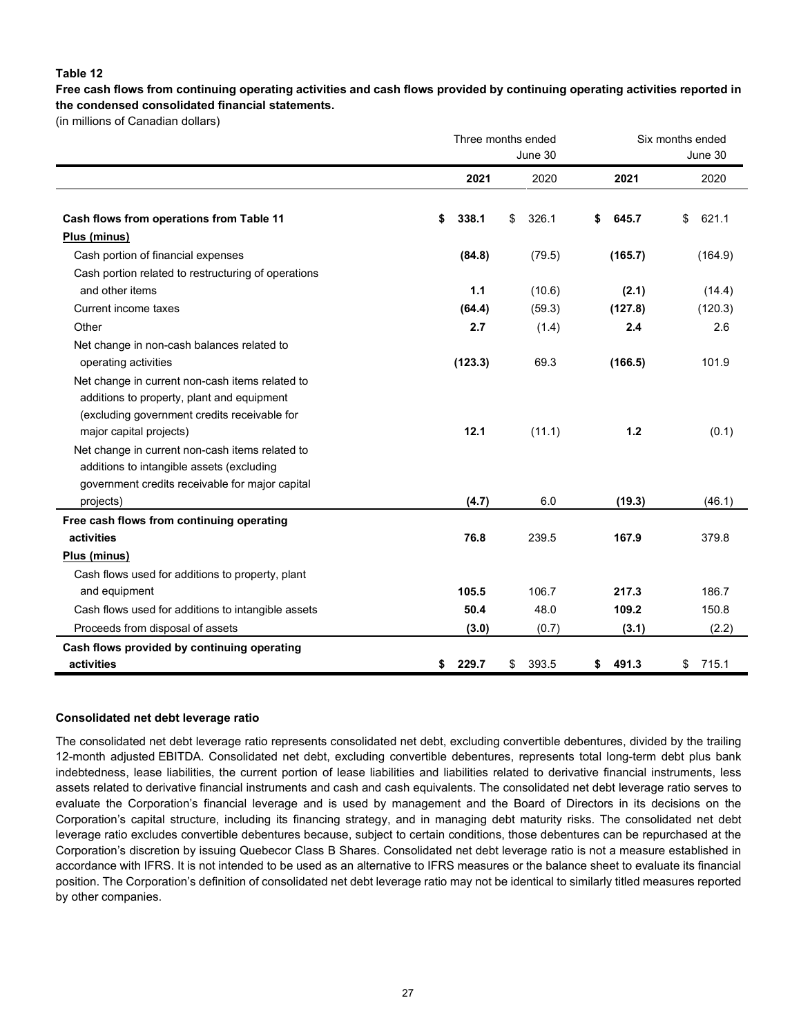#### **Table 12**

**Free cash flows from continuing operating activities and cash flows provided by continuing operating activities reported in the condensed consolidated financial statements.**

(in millions of Canadian dollars)

|                                                     |             | Three months ended | Six months ended |             |  |  |  |
|-----------------------------------------------------|-------------|--------------------|------------------|-------------|--|--|--|
|                                                     |             | June 30            |                  | June 30     |  |  |  |
|                                                     | 2021        | 2020               | 2021             | 2020        |  |  |  |
| Cash flows from operations from Table 11            | \$<br>338.1 | 326.1<br>\$        | \$<br>645.7      | 621.1<br>\$ |  |  |  |
| Plus (minus)                                        |             |                    |                  |             |  |  |  |
| Cash portion of financial expenses                  | (84.8)      | (79.5)             | (165.7)          | (164.9)     |  |  |  |
| Cash portion related to restructuring of operations |             |                    |                  |             |  |  |  |
| and other items                                     | 1.1         | (10.6)             | (2.1)            | (14.4)      |  |  |  |
| Current income taxes                                | (64.4)      | (59.3)             | (127.8)          | (120.3)     |  |  |  |
| Other                                               | 2.7         | (1.4)              | 2.4              | 2.6         |  |  |  |
| Net change in non-cash balances related to          |             |                    |                  |             |  |  |  |
| operating activities                                | (123.3)     | 69.3               | (166.5)          | 101.9       |  |  |  |
| Net change in current non-cash items related to     |             |                    |                  |             |  |  |  |
| additions to property, plant and equipment          |             |                    |                  |             |  |  |  |
| (excluding government credits receivable for        |             |                    |                  |             |  |  |  |
| major capital projects)                             | 12.1        | (11.1)             | $1.2$            | (0.1)       |  |  |  |
| Net change in current non-cash items related to     |             |                    |                  |             |  |  |  |
| additions to intangible assets (excluding           |             |                    |                  |             |  |  |  |
| government credits receivable for major capital     |             |                    |                  |             |  |  |  |
| projects)                                           | (4.7)       | 6.0                | (19.3)           | (46.1)      |  |  |  |
| Free cash flows from continuing operating           |             |                    |                  |             |  |  |  |
| activities                                          | 76.8        | 239.5              | 167.9            | 379.8       |  |  |  |
| Plus (minus)                                        |             |                    |                  |             |  |  |  |
| Cash flows used for additions to property, plant    |             |                    |                  |             |  |  |  |
| and equipment                                       | 105.5       | 106.7              | 217.3            | 186.7       |  |  |  |
| Cash flows used for additions to intangible assets  | 50.4        | 48.0               | 109.2            | 150.8       |  |  |  |
| Proceeds from disposal of assets                    | (3.0)       | (0.7)              | (3.1)            | (2.2)       |  |  |  |
| Cash flows provided by continuing operating         |             |                    |                  |             |  |  |  |
| activities                                          | 229.7<br>\$ | \$<br>393.5        | \$<br>491.3      | \$<br>715.1 |  |  |  |

#### **Consolidated net debt leverage ratio**

The consolidated net debt leverage ratio represents consolidated net debt, excluding convertible debentures, divided by the trailing 12-month adjusted EBITDA. Consolidated net debt, excluding convertible debentures, represents total long-term debt plus bank indebtedness, lease liabilities, the current portion of lease liabilities and liabilities related to derivative financial instruments, less assets related to derivative financial instruments and cash and cash equivalents. The consolidated net debt leverage ratio serves to evaluate the Corporation's financial leverage and is used by management and the Board of Directors in its decisions on the Corporation's capital structure, including its financing strategy, and in managing debt maturity risks. The consolidated net debt leverage ratio excludes convertible debentures because, subject to certain conditions, those debentures can be repurchased at the Corporation's discretion by issuing Quebecor Class B Shares. Consolidated net debt leverage ratio is not a measure established in accordance with IFRS. It is not intended to be used as an alternative to IFRS measures or the balance sheet to evaluate its financial position. The Corporation's definition of consolidated net debt leverage ratio may not be identical to similarly titled measures reported by other companies.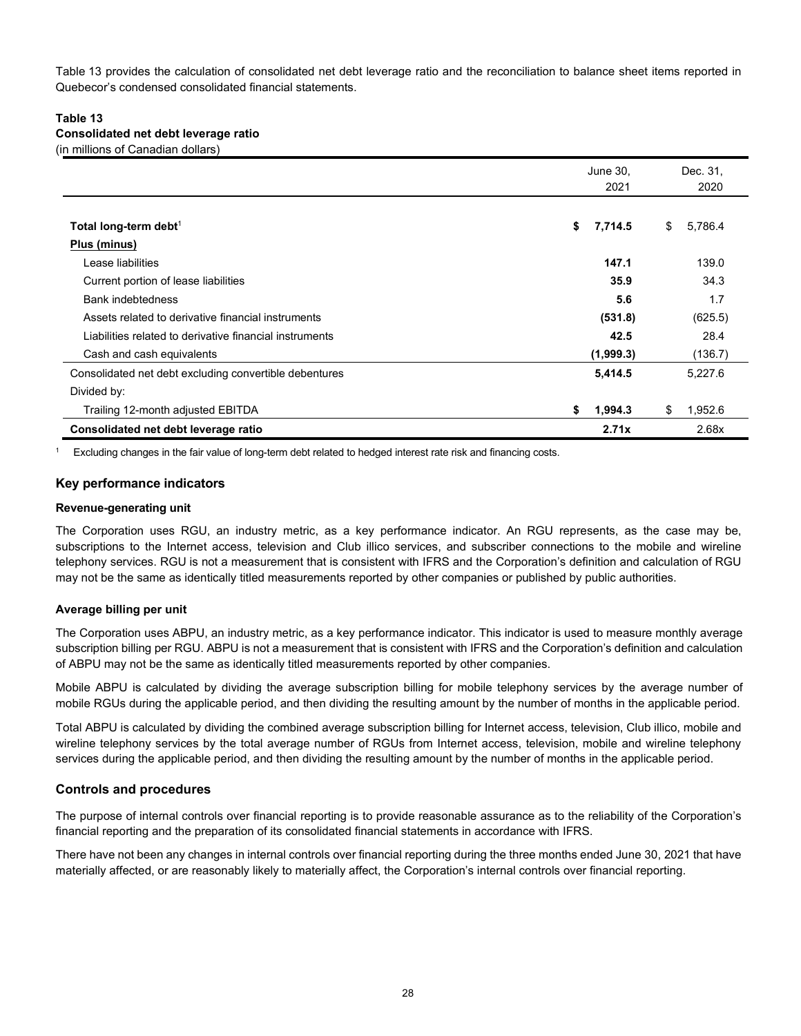Table 13 provides the calculation of consolidated net debt leverage ratio and the reconciliation to balance sheet items reported in Quebecor's condensed consolidated financial statements.

#### **Table 13 Consolidated net debt leverage ratio**

(in millions of Canadian dollars)

|                                                         | June 30,<br>2021 | Dec. 31,<br>2020 |  |  |
|---------------------------------------------------------|------------------|------------------|--|--|
|                                                         |                  |                  |  |  |
| Total long-term debt <sup>1</sup>                       | 7,714.5<br>\$    | 5,786.4<br>\$    |  |  |
| Plus (minus)                                            |                  |                  |  |  |
| Lease liabilities                                       | 147.1            | 139.0            |  |  |
| Current portion of lease liabilities                    | 35.9             | 34.3             |  |  |
| Bank indebtedness                                       | 5.6              | 1.7              |  |  |
| Assets related to derivative financial instruments      | (531.8)          | (625.5)          |  |  |
| Liabilities related to derivative financial instruments | 42.5             | 28.4             |  |  |
| Cash and cash equivalents                               | (1,999.3)        | (136.7)          |  |  |
| Consolidated net debt excluding convertible debentures  | 5,414.5          | 5,227.6          |  |  |
| Divided by:                                             |                  |                  |  |  |
| Trailing 12-month adjusted EBITDA                       | 1,994.3<br>S     | \$<br>1,952.6    |  |  |
| Consolidated net debt leverage ratio                    | 2.71x            | 2.68x            |  |  |

<sup>1</sup> Excluding changes in the fair value of long-term debt related to hedged interest rate risk and financing costs.

#### **Key performance indicators**

#### **Revenue-generating unit**

The Corporation uses RGU, an industry metric, as a key performance indicator. An RGU represents, as the case may be, subscriptions to the Internet access, television and Club illico services, and subscriber connections to the mobile and wireline telephony services. RGU is not a measurement that is consistent with IFRS and the Corporation's definition and calculation of RGU may not be the same as identically titled measurements reported by other companies or published by public authorities.

#### **Average billing per unit**

The Corporation uses ABPU, an industry metric, as a key performance indicator. This indicator is used to measure monthly average subscription billing per RGU. ABPU is not a measurement that is consistent with IFRS and the Corporation's definition and calculation of ABPU may not be the same as identically titled measurements reported by other companies.

Mobile ABPU is calculated by dividing the average subscription billing for mobile telephony services by the average number of mobile RGUs during the applicable period, and then dividing the resulting amount by the number of months in the applicable period.

Total ABPU is calculated by dividing the combined average subscription billing for Internet access, television, Club illico, mobile and wireline telephony services by the total average number of RGUs from Internet access, television, mobile and wireline telephony services during the applicable period, and then dividing the resulting amount by the number of months in the applicable period.

#### **Controls and procedures**

The purpose of internal controls over financial reporting is to provide reasonable assurance as to the reliability of the Corporation's financial reporting and the preparation of its consolidated financial statements in accordance with IFRS.

There have not been any changes in internal controls over financial reporting during the three months ended June 30, 2021 that have materially affected, or are reasonably likely to materially affect, the Corporation's internal controls over financial reporting.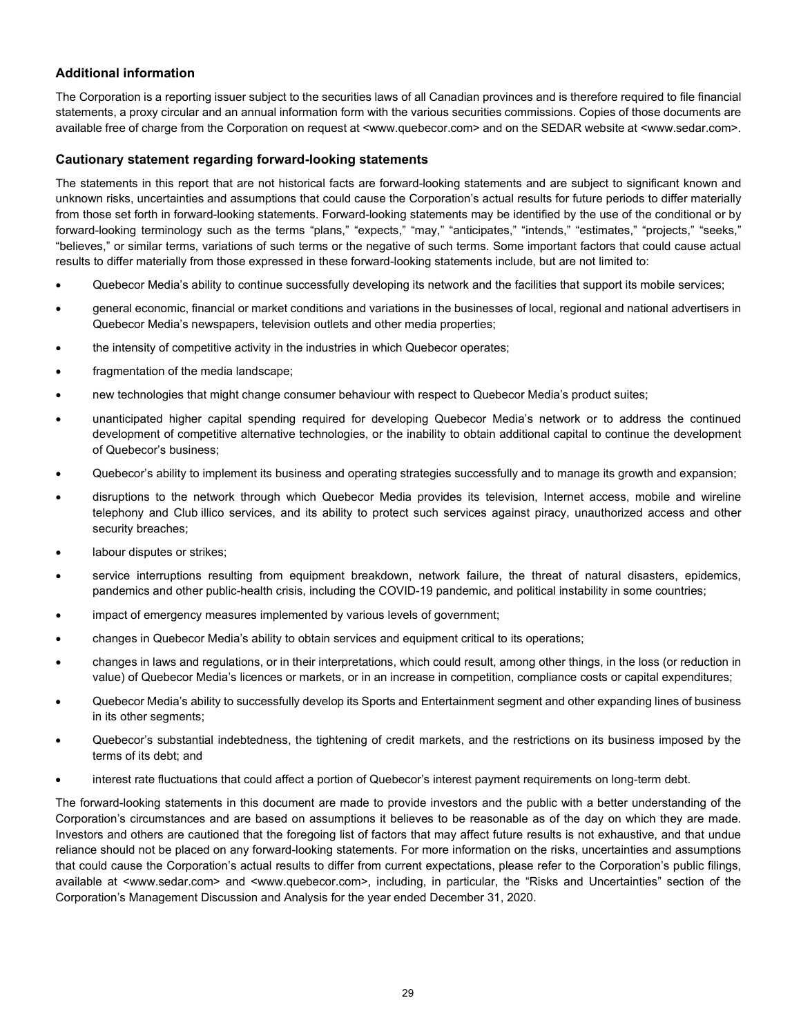### **Additional information**

The Corporation is a reporting issuer subject to the securities laws of all Canadian provinces and is therefore required to file financial statements, a proxy circular and an annual information form with the various securities commissions. Copies of those documents are available free of charge from the Corporation on request at <www.quebecor.com> and on the SEDAR website at <www.sedar.com>.

#### **Cautionary statement regarding forward-looking statements**

The statements in this report that are not historical facts are forward-looking statements and are subject to significant known and unknown risks, uncertainties and assumptions that could cause the Corporation's actual results for future periods to differ materially from those set forth in forward-looking statements. Forward-looking statements may be identified by the use of the conditional or by forward-looking terminology such as the terms "plans," "expects," "may," "anticipates," "intends," "estimates," "projects," "seeks," "believes," or similar terms, variations of such terms or the negative of such terms. Some important factors that could cause actual results to differ materially from those expressed in these forward-looking statements include, but are not limited to:

- Quebecor Media's ability to continue successfully developing its network and the facilities that support its mobile services;
- general economic, financial or market conditions and variations in the businesses of local, regional and national advertisers in Quebecor Media's newspapers, television outlets and other media properties;
- the intensity of competitive activity in the industries in which Quebecor operates;
- fragmentation of the media landscape;
- new technologies that might change consumer behaviour with respect to Quebecor Media's product suites;
- unanticipated higher capital spending required for developing Quebecor Media's network or to address the continued development of competitive alternative technologies, or the inability to obtain additional capital to continue the development of Quebecor's business;
- Quebecor's ability to implement its business and operating strategies successfully and to manage its growth and expansion;
- disruptions to the network through which Quebecor Media provides its television, Internet access, mobile and wireline telephony and Club illico services, and its ability to protect such services against piracy, unauthorized access and other security breaches;
- labour disputes or strikes;
- service interruptions resulting from equipment breakdown, network failure, the threat of natural disasters, epidemics, pandemics and other public-health crisis, including the COVID-19 pandemic, and political instability in some countries;
- impact of emergency measures implemented by various levels of government;
- changes in Quebecor Media's ability to obtain services and equipment critical to its operations;
- changes in laws and regulations, or in their interpretations, which could result, among other things, in the loss (or reduction in value) of Quebecor Media's licences or markets, or in an increase in competition, compliance costs or capital expenditures;
- Quebecor Media's ability to successfully develop its Sports and Entertainment segment and other expanding lines of business in its other segments;
- Quebecor's substantial indebtedness, the tightening of credit markets, and the restrictions on its business imposed by the terms of its debt; and
- interest rate fluctuations that could affect a portion of Quebecor's interest payment requirements on long-term debt.

The forward-looking statements in this document are made to provide investors and the public with a better understanding of the Corporation's circumstances and are based on assumptions it believes to be reasonable as of the day on which they are made. Investors and others are cautioned that the foregoing list of factors that may affect future results is not exhaustive, and that undue reliance should not be placed on any forward-looking statements. For more information on the risks, uncertainties and assumptions that could cause the Corporation's actual results to differ from current expectations, please refer to the Corporation's public filings, available at <www.sedar.com> and <www.quebecor.com>, including, in particular, the "Risks and Uncertainties" section of the Corporation's Management Discussion and Analysis for the year ended December 31, 2020.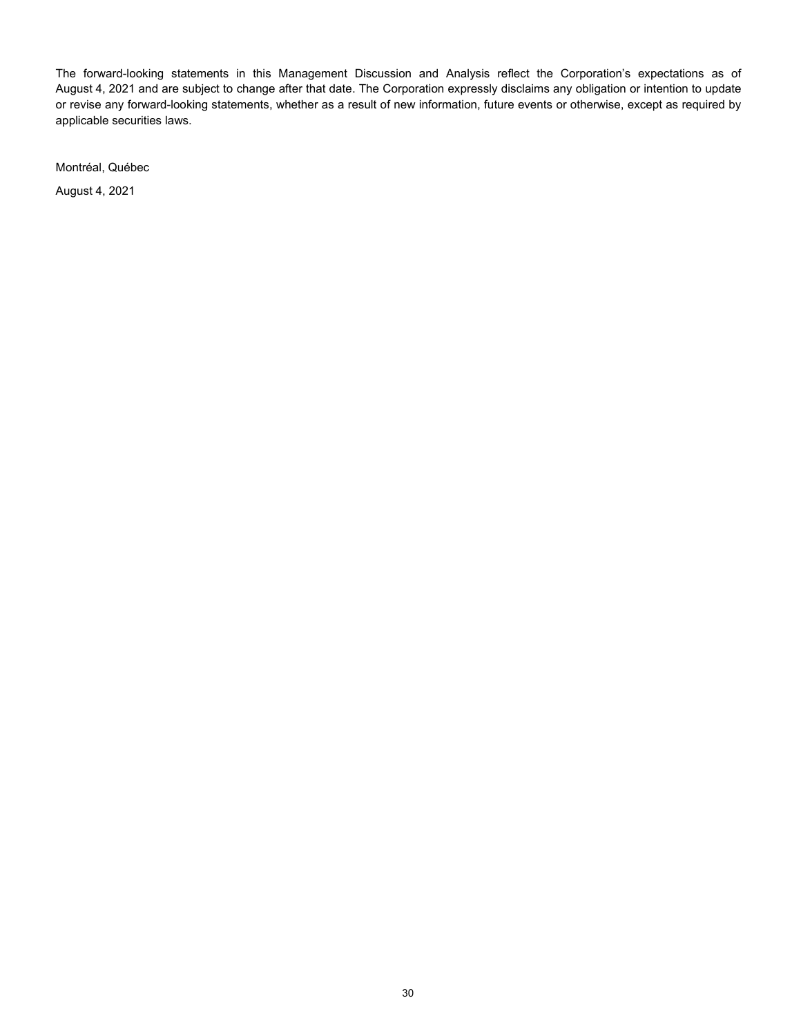The forward-looking statements in this Management Discussion and Analysis reflect the Corporation's expectations as of August 4, 2021 and are subject to change after that date. The Corporation expressly disclaims any obligation or intention to update or revise any forward-looking statements, whether as a result of new information, future events or otherwise, except as required by applicable securities laws.

Montréal, Québec

August 4, 2021